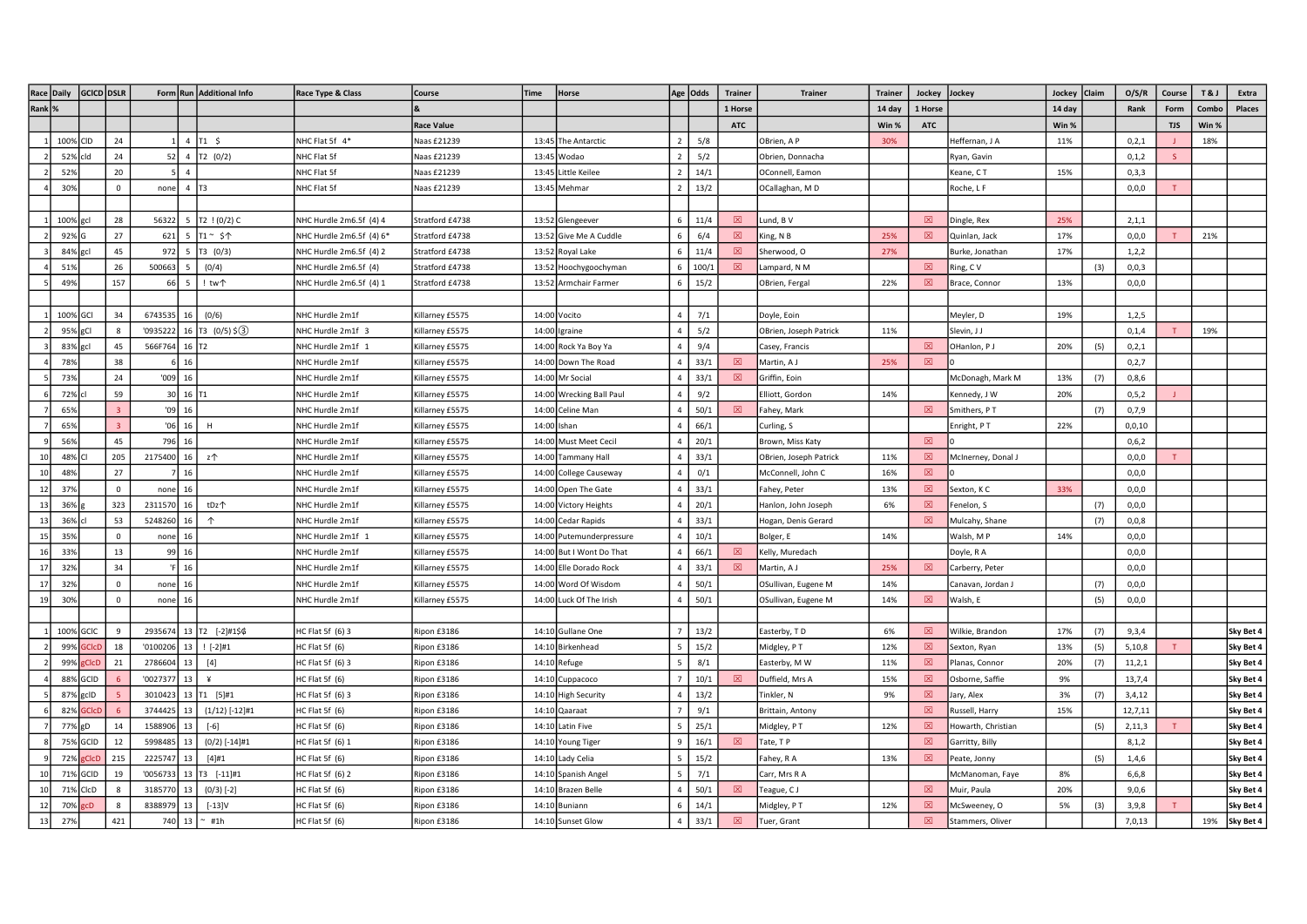|        | Race Daily | GCICD DSLR  |             |            |                     | Form Run Additional Info | Race Type & Class        | Course            | Time | Horse                    |                | Age Odds | <b>Trainer</b> | <b>Trainer</b>         | Trainer | Jockey       | Jockey             | Jockey Claim |     | O/S/R    | Course       | <b>T&amp;J</b> | Extra     |
|--------|------------|-------------|-------------|------------|---------------------|--------------------------|--------------------------|-------------------|------|--------------------------|----------------|----------|----------------|------------------------|---------|--------------|--------------------|--------------|-----|----------|--------------|----------------|-----------|
| Rank % |            |             |             |            |                     |                          |                          |                   |      |                          |                |          | 1 Horse        |                        | 14 day  | 1 Horse      |                    | 14 day       |     | Rank     | Form         | Combo          | Places    |
|        |            |             |             |            |                     |                          |                          | <b>Race Value</b> |      |                          |                |          | <b>ATC</b>     |                        | Win %   | <b>ATC</b>   |                    | Win %        |     |          | <b>TJS</b>   | Win %          |           |
|        | 100%       | <b>CID</b>  | 24          |            | $\overline{4}$      | $T1 \quad$ \$            | NHC Flat 5f 4*           | Vaas £21239       |      | 13:45 The Antarctic      | $\overline{2}$ | 5/8      |                | OBrien, A P            | 30%     |              | Heffernan, J A     | 11%          |     | 0,2,1    |              | 18%            |           |
|        | 52%        | rld         | 24          | 52         | $\overline{4}$      | T2 (0/2)                 | NHC Flat 5f              | Vaas £21239       |      | 13:45 Wodao              |                | 5/2      |                | Obrien, Donnacha       |         |              | Ryan, Gavin        |              |     | 0, 1, 2  | $\mathbf{S}$ |                |           |
|        | 52%        |             | 20          |            | $\Delta$            |                          | NHC Flat 5f              | Vaas £21239       |      | 13:45 Little Keilee      |                | 14/1     |                | OConnell, Eamon        |         |              | Keane, CT          | 15%          |     | 0,3,3    |              |                |           |
|        | 30%        |             | $\mathsf 0$ | none       | 4 T3                |                          | NHC Flat 5f              | Naas £21239       |      | 13:45 Mehmar             |                | 13/2     |                | OCallaghan, MD         |         |              | Roche, L F         |              |     | 0,0,0    | T.           |                |           |
|        |            |             |             |            |                     |                          |                          |                   |      |                          |                |          |                |                        |         |              |                    |              |     |          |              |                |           |
|        | 100%       | gc          | 28          | 56322      | -5                  | T2 ! (0/2) C             | NHC Hurdle 2m6.5f (4) 4  | Stratford £4738   |      | 13:52 Glengeever         | 6              | 11/4     | 図              | Lund, B V              |         | 図            | Dingle, Rex        | 25%          |     | 2,1,1    |              |                |           |
|        | 92%        |             | 27          | 621        | 5                   | T1~ \$个                  | NHC Hurdle 2m6.5f (4) 6* | Stratford £4738   |      | 13:52 Give Me A Cuddle   | 6              | 6/4      | $\boxtimes$    | King, N B              | 25%     | 図            | Quinlan, Jack      | 17%          |     | 0,0,0    |              | 21%            |           |
|        | 84%        | gcl         | 45          | 972        | 5                   | T3 (0/3)                 | NHC Hurdle 2m6.5f (4) 2  | Stratford £4738   |      | 13:52 Royal Lake         | 6              | 11/4     | 図              | Sherwood, O            | 27%     |              | Burke, Jonathan    | 17%          |     | 1,2,2    |              |                |           |
|        | 51%        |             | 26          | 500663     | -5                  | (0/4)                    | NHC Hurdle 2m6.5f (4)    | Stratford £4738   |      | 13:52 Hoochygoochyman    |                | 100/1    | 冈              | Lampard, N M           |         | $\mathbb{R}$ | Ring, CV           |              | (3) | 0,0,3    |              |                |           |
|        | 49%        |             | 157         | 66         | 5                   | ! tw个                    | NHC Hurdle 2m6.5f (4) 1  | Stratford £4738   |      | 13:52 Armchair Farmer    | -6             | 15/2     |                | OBrien, Fergal         | 22%     | $\boxtimes$  | Brace, Connor      | 13%          |     | 0, 0, 0  |              |                |           |
|        |            |             |             |            |                     |                          |                          |                   |      |                          |                |          |                |                        |         |              |                    |              |     |          |              |                |           |
|        | 100% GCI   |             | 34          | 6743535    | 16                  | (0/6)                    | NHC Hurdle 2m1f          | Killarney £5575   |      | 14:00 Vocito             | $\Delta$       | 7/1      |                | Doyle, Eoin            |         |              | Meyler, D          | 19%          |     | 1,2,5    |              |                |           |
|        | 95%        | gCl         | 8           | '0935222   | 16                  | $T3$ (0/5) \$(3)         | NHC Hurdle 2m1f 3        | Killarney £5575   |      | 14:00 Igraine            |                | 5/2      |                | OBrien, Joseph Patrick | 11%     |              | Slevin, J J        |              |     | 0,1,4    |              | 19%            |           |
|        | 83%        | gcl         | 45          | 566F764    | $16$ T <sub>2</sub> |                          | NHC Hurdle 2m1f 1        | Killarney £5575   |      | 14:00 Rock Ya Boy Ya     |                | 9/4      |                | Casey, Francis         |         | 図            | OHanlon, PJ        | 20%          | (5) | 0,2,1    |              |                |           |
|        | 78%        |             | 38          |            | $6 \mid 16$         |                          | NHC Hurdle 2m1f          | Killarney £5575   |      | 14:00 Down The Road      |                | 33/1     | 図              | Martin, A J            | 25%     | 冈            |                    |              |     | 0, 2, 7  |              |                |           |
|        | 73%        |             | 24          | $'009$ 16  |                     |                          | NHC Hurdle 2m1f          | Killarney £5575   |      | 14:00 Mr Social          |                | 33/1     | $\boxtimes$    | Griffin, Eoin          |         |              | McDonagh, Mark M   | 13%          | (7) | 0,8,6    |              |                |           |
|        | 72%        |             | 59          |            | 30 16 T1            |                          | NHC Hurdle 2m1f          | Killarney £5575   |      | 14:00 Wrecking Ball Paul | $\Delta$       | 9/2      |                | Elliott, Gordon        | 14%     |              | Kennedy, J W       | 20%          |     | 0, 5, 2  |              |                |           |
|        | 65%        |             |             |            | $'09$ 16            |                          | NHC Hurdle 2m1f          | Killarney £5575   |      | 14:00 Celine Man         |                | 50/1     | 図              | Fahey, Mark            |         | 図            | Smithers, PT       |              | (7) | 0,7,9    |              |                |           |
|        | 65%        |             |             |            | $'06$ 16            | H                        | NHC Hurdle 2m1f          | Killarney £5575   |      | 14:00 Ishan              |                | 66/1     |                | Curling, S             |         |              | Enright, PT        | 22%          |     | 0,0,10   |              |                |           |
|        | 56%        |             | 45          | 796        | 16                  |                          | NHC Hurdle 2m1f          | Killarney £5575   |      | 14:00 Must Meet Cecil    |                | 20/1     |                | Brown, Miss Katy       |         | $\boxtimes$  |                    |              |     | 0,6,2    |              |                |           |
| 10     | 48%        |             | 205         | 2175400    | 16                  | z个                       | NHC Hurdle 2m1f          | Killarney £5575   |      | 14:00 Tammany Hall       |                | 33/1     |                | OBrien, Joseph Patrick | 11%     | 図            | McInerney, Donal J |              |     | 0,0,0    |              |                |           |
| 10     | 48%        |             | 27          |            | 7 16                |                          | NHC Hurdle 2m1f          | Killarney £5575   |      | 14:00 College Causeway   |                | 0/1      |                | McConnell, John C      | 16%     | 図            |                    |              |     | 0, 0, 0  |              |                |           |
| 12     | 37%        |             | $\mathbf 0$ | none       | 16                  |                          | NHC Hurdle 2m1f          | Killarney £5575   |      | 14:00 Open The Gate      |                | 33/1     |                | Fahey, Peter           | 13%     | 図            | Sexton, KC         | 33%          |     | 0, 0, 0  |              |                |           |
| 13     | 36%        |             | 323         | 2311570    | 16                  | tDz个                     | NHC Hurdle 2m1f          | Killarney £5575   |      | 14:00 Victory Heights    |                | 20/1     |                | Hanlon, John Joseph    | 6%      | 図            | Fenelon, S         |              | (7) | 0,0,0    |              |                |           |
| 13     | 36%        |             | 53          | 5248260    | 16                  | $\uparrow$               | NHC Hurdle 2m1f          | Killarney £5575   |      | 14:00 Cedar Rapids       |                | 33/1     |                | Hogan, Denis Gerard    |         | 図            | Mulcahy, Shane     |              | (7) | 0,0,8    |              |                |           |
| 15     | 35%        |             | $\Omega$    | none       | 16                  |                          | NHC Hurdle 2m1f 1        | Killarney £5575   |      | 14:00 Putemunderpressure |                | 10/1     |                | Bolger, E              | 14%     |              | Walsh, MP          | 14%          |     | 0,0,0    |              |                |           |
| 16     | 33%        |             | 13          |            | 99 16               |                          | NHC Hurdle 2m1f          | Killarney £5575   |      | 14:00 But I Wont Do That |                | 66/1     | 図              | Kelly, Muredach        |         |              | Doyle, R A         |              |     | 0,0,0    |              |                |           |
| 17     | 32%        |             | 34          |            | 'F 16               |                          | NHC Hurdle 2m1f          | Killarney £5575   |      | 14:00 Elle Dorado Rock   |                | 33/1     | 図              | Martin, A J            | 25%     | 図            | Carberry, Peter    |              |     | 0, 0, 0  |              |                |           |
| 17     | 329        |             | $\Omega$    | none 16    |                     |                          | NHC Hurdle 2m1f          | Killarney £5575   |      | 14:00 Word Of Wisdom     |                | 50/1     |                | OSullivan, Eugene M    | 14%     |              | Canavan, Jordan J  |              | (7) | 0, 0, 0  |              |                |           |
| 19     | 309        |             | $\Omega$    | none       | 16                  |                          | NHC Hurdle 2m1f          | Killarney £5575   |      | 14:00 Luck Of The Irish  |                | 50/1     |                | OSullivan, Eugene M    | 14%     | $\boxtimes$  | Walsh, E           |              | (5) | 0,0,0    |              |                |           |
|        |            |             |             |            |                     |                          |                          |                   |      |                          |                |          |                |                        |         |              |                    |              |     |          |              |                |           |
|        | 100% GCIC  |             | 9           |            |                     | 2935674 13 T2 [-2]#1\$\$ | HC Flat 5f (6) 3         | Ripon £3186       |      | 14:10 Gullane One        |                | 13/2     |                | Easterby, TD           | 6%      | 図            | Wilkie, Brandon    | 17%          | (7) | 9,3,4    |              |                | Sky Bet 4 |
|        | 99%        | <b>GICD</b> | 18          | '0100206   | 13                  | $! [-2] \# 1$            | HC Flat 5f (6)           | Ripon £3186       |      | 14:10 Birkenhead         |                | 15/2     |                | Midgley, PT            | 12%     | 図            | Sexton, Ryan       | 13%          | (5) | 5,10,8   |              |                | Sky Bet 4 |
|        | 99%        | <b>CICD</b> | 21          | 2786604    | 13                  | $[4]$                    | HC Flat 5f (6) 3         | Ripon £3186       |      | 14:10 Refuge             |                | 8/1      |                | Easterby, M W          | 11%     | 図            | Planas, Connor     | 20%          | (7) | 11, 2, 1 |              |                | Sky Bet 4 |
|        | 88%        | GCID        |             | '0027377   | 13                  | $\mathbf{\underline{Y}}$ | HC Flat 5f (6)           | Ripon £3186       |      | 14:10 Cuppacoco          |                | 10/1     | 冈              | Duffield, Mrs A        | 15%     | 冈            | Osborne, Saffie    | 9%           |     | 13,7,4   |              |                | Sky Bet 4 |
|        | 87%        | gcID        |             | 3010423    | 13                  | T1 [5]#1                 | HC Flat 5f (6) 3         | Ripon £3186       |      | 14:10 High Security      |                | 13/2     |                | Tinkler, N             | 9%      | $\boxtimes$  | Jary, Alex         | 3%           | (7) | 3,4,12   |              |                | Sky Bet 4 |
|        | 82%        |             |             | 3744425    | 13                  | $(1/12)$ [-12]#1         | HC Flat 5f (6)           | Ripon £3186       |      | 14:10 Qaaraat            |                | 9/1      |                | Brittain, Antony       |         | $\boxtimes$  | Russell, Harry     | 15%          |     | 12,7,11  |              |                | Sky Bet 4 |
|        | 77%        | gD          | 14          | 1588906    | 13                  | $[-6]$                   | HC Flat 5f (6)           | Ripon £3186       |      | 14:10 Latin Five         |                | 25/1     |                | Midgley, PT            | 12%     | $\boxtimes$  | Howarth, Christian |              | (5) | 2,11,3   |              |                | Sky Bet 4 |
|        | 75%        | GCID        | 12          | 5998485 13 |                     | (0/2) [-14]#1            | HC Flat 5f (6) 1         | Ripon £3186       |      | 14:10 Young Tiger        |                | 16/1     | 図              | Tate, TP               |         | 図            | Garritty, Billy    |              |     | 8,1,2    |              |                | Sky Bet 4 |
|        | 72%        |             | 215         | 2225747    | 13                  | $[4]$ #1                 | HC Flat 5f (6)           | Ripon £3186       |      | 14:10 Lady Celia         |                | 15/2     |                | Fahey, R A             | 13%     | $\boxtimes$  | Peate, Jonny       |              | (5) | 1,4,6    |              |                | Sky Bet 4 |
| 10     | 71%        | GCID        | 19          | '0056733   | 13                  | T3 [-11]#1               | HC Flat 5f (6) 2         | Ripon £3186       |      | 14:10 Spanish Angel      |                | 7/1      |                | Carr, Mrs R A          |         |              | McManoman, Faye    | 8%           |     | 6, 6, 8  |              |                | Sky Bet 4 |
| 10     | 71%        | CIcD        | 8           | 3185770    | 13                  | $(0/3)$ [-2]             | HC Flat 5f (6)           | Ripon £3186       |      | 14:10 Brazen Belle       |                | 50/1     | 図              | Teague, CJ             |         | $\boxtimes$  | Muir, Paula        | 20%          |     | 9,0,6    |              |                | Sky Bet 4 |
| $12\,$ | 70%        | cD          | 8           | 838897     | 1 <sup>2</sup>      | $[-13]V$                 | HC Flat 5f (6)           | lipon £3186       |      | 14:10 Buniann            |                | 14/1     |                | Midgley, PT            | 12%     | $\boxtimes$  | McSweeney, O       | 5%           | (3) | 3,9,8    |              |                | Sky Bet 4 |
| 13     | 27%        |             | 421         | 740 13     |                     | $~^{\sim}$ #1h           | HC Flat 5f (6)           | Ripon £3186       |      | 14:10 Sunset Glow        |                | 33/1     | 図              | Tuer, Grant            |         | $\boxtimes$  | Stammers, Oliver   |              |     | 7,0,13   |              | 19%            | Sky Bet 4 |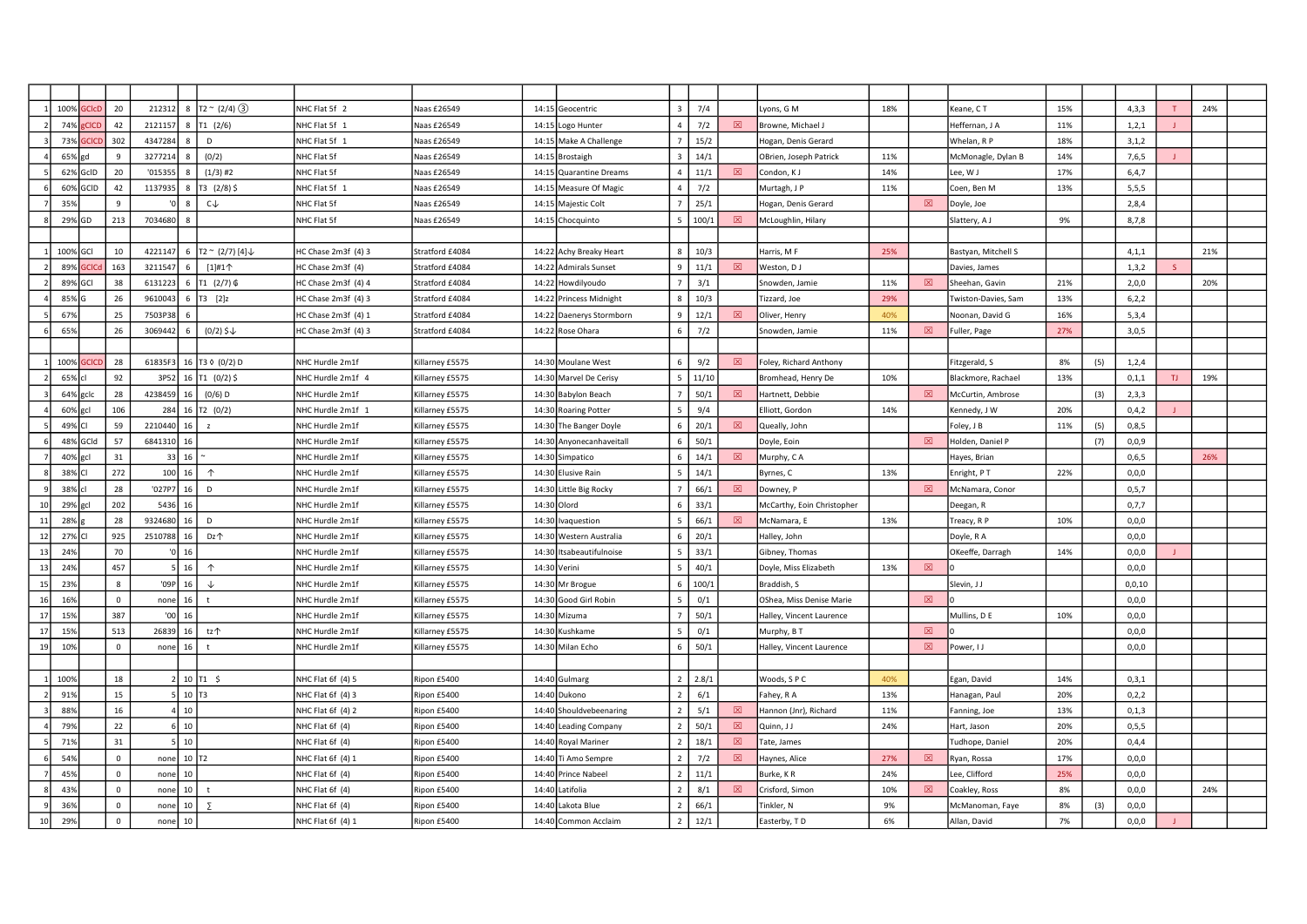|    | 100% GCICD         | 20               | 212312                  | 8 $\boxed{72 \approx (2/4)(3)}$  | NHC Flat 5f 2       | Vaas £26549     |       | 14:15 Geocentric         | $\overline{3}$ | 7/4   |   | Lyons, G M                 | 18% |             | Geane, CT                  | 15% |     | 4,3,3   | T             | 24% |  |
|----|--------------------|------------------|-------------------------|----------------------------------|---------------------|-----------------|-------|--------------------------|----------------|-------|---|----------------------------|-----|-------------|----------------------------|-----|-----|---------|---------------|-----|--|
|    | 74%<br><b>CICE</b> | 42               | 2121157                 | T1 (2/6)                         | NHC Flat 5f 1       | Vaas £26549     | 14:15 | Logo Hunter              | $\overline{4}$ | 7/2   | 図 | Browne, Michael J          |     |             | Heffernan, J A             | 11% |     | 1,2,1   |               |     |  |
|    | 73%<br>GCIC        | 302              | 4347284                 | D                                | NHC Flat 5f 1       | Vaas £26549     |       | 14:15 Make A Challenge   |                | 15/2  |   | Hogan, Denis Gerard        |     |             | Whelan, R P                | 18% |     | 3,1,2   |               |     |  |
|    | 65% gd             | $\mathbf{q}$     | 3277214                 | (0/2)                            | NHC Flat 5f         | Naas £26549     |       | 14:15 Brostaigh          | $\mathbf{R}$   | 14/1  |   | OBrien, Joseph Patrick     | 11% |             | McMonagle, Dylan B         | 14% |     | 7,6,5   |               |     |  |
|    | 62% GcID           | 20               | '015355                 | $(1/3)$ #2                       | NHC Flat 5f         | Naas £26549     |       | 14:15 Quarantine Dreams  | $\overline{4}$ | 11/1  | 冈 | Condon, KJ                 | 14% |             | Lee, W J                   | 17% |     | 6, 4, 7 |               |     |  |
|    | 60% GCID           | 42               | 1137935<br>8            | $T3$ (2/8) \$                    | NHC Flat 5f 1       | Naas £26549     |       | 14:15 Measure Of Magic   | $\overline{4}$ | 7/2   |   | Murtagh, J P               | 11% |             | Coen, Ben M                | 13% |     | 5,5,5   |               |     |  |
|    | 359                | $\mathbf{q}$     |                         | $c \uparrow$                     | NHC Flat 5f         | Naas £26549     |       | 14:15 Majestic Colt      |                | 25/1  |   | Hogan, Denis Gerard        |     | 図           | Doyle, Joe                 |     |     | 2,8,4   |               |     |  |
|    | 29% GD             | 213              | 7034680                 |                                  | NHC Flat 5f         | Vaas £26549     |       | 14:15 Chocquinto         | $\overline{5}$ | 100/1 | ⊠ | McLoughlin, Hilary         |     |             | Slattery, A J              | 9%  |     | 8,7,8   |               |     |  |
|    |                    |                  |                         |                                  |                     |                 |       |                          |                |       |   |                            |     |             |                            |     |     |         |               |     |  |
|    | 100% GCI           | 10               | 4221147                 | 6 $T2 \sim (2/7) [4] \downarrow$ | HC Chase 2m3f (4) 3 | Stratford £4084 |       | 14:22 Achy Breaky Heart  | 8              | 10/3  |   | Harris, M F                | 25% |             | Bastyan, Mitchell S        |     |     | 4, 1, 1 |               | 21% |  |
|    | 89% GCIC           | 163              | 3211547                 | $[1]$ #1 $\uparrow$              | HC Chase 2m3f (4)   | Stratford £4084 |       | 14:22 Admirals Sunset    | -9             | 11/1  | 図 | Weston, DJ                 |     |             | Davies, James              |     |     | 1, 3, 2 | $\mathcal{S}$ |     |  |
|    | 89% GCI            | 38               | 6131223                 | 6 T1 $(2/7)$ 6                   | HC Chase 2m3f (4) 4 | Stratford £4084 |       | 14:22 Howdilyoudo        |                | 3/1   |   | Snowden, Jamie             | 11% | 図           | Sheehan, Gavin             | 21% |     | 2,0,0   |               | 20% |  |
|    | 85%                | 26               | 9610043                 | 6 $T_3$ [2]z                     | HC Chase 2m3f (4) 3 | Stratford £4084 |       | 14:22 Princess Midnight  | $\mathbf{R}$   | 10/3  |   | Tizzard, Joe               | 29% |             | <b>Twiston-Davies, Sam</b> | 13% |     | 6, 2, 2 |               |     |  |
|    | 67%                | 25               | 7503P3                  |                                  | HC Chase 2m3f (4) 1 | Stratford £4084 |       | 14:22 Daenerys Stormborn | 9              | 12/1  | 図 | Oliver, Henry              | 40% |             | Noonan, David G            | 16% |     | 5,3,4   |               |     |  |
|    | 65%                | 26               | 3069442                 | $(0/2)$ \$ $\downarrow$          | HC Chase 2m3f (4) 3 | Stratford £4084 |       | 14:22 Rose Ohara         | 6              | 7/2   |   | Snowden, Jamie             | 11% | $\boxtimes$ | uller, Page                | 27% |     | 3,0,5   |               |     |  |
|    |                    |                  |                         |                                  |                     |                 |       |                          |                |       |   |                            |     |             |                            |     |     |         |               |     |  |
|    | 100% GCICI         | 28               |                         | 61835F3 16 T3 0 (0/2) D          | NHC Hurdle 2m1f     | Killarney £5575 |       | 14:30 Moulane West       | 6              | 9/2   | ⊠ | Foley, Richard Anthony     |     |             | Fitzgerald, S              | 8%  | (5) | 1,2,4   |               |     |  |
|    | 65% cl             | 92               | 3P52                    | 16 $\boxed{71}$ (0/2) \$         | NHC Hurdle 2m1f 4   | Killarney £5575 |       | 14:30 Marvel De Cerisy   | -5             | 11/10 |   | Bromhead, Henry De         | 10% |             | Blackmore, Rachael         | 13% |     | 0, 1, 1 | TJ            | 19% |  |
|    | 64% gclc           | 28               | 4238459<br>16           | $(0/6)$ D                        | NHC Hurdle 2m1f     | Killarney £5575 |       | 14:30 Babylon Beach      |                | 50/1  | 冈 | Hartnett, Debbie           |     | 冈           | McCurtin, Ambrose          |     | (3) | 2,3,3   |               |     |  |
|    | 60% gcl            | 106              |                         | 284 16 T2 (0/2)                  | NHC Hurdle 2m1f 1   | Killarney £5575 |       | 14:30 Roaring Potter     |                | 9/4   |   | Elliott, Gordon            | 14% |             | Kennedy, J W               | 20% |     | 0,4,2   |               |     |  |
|    | 49% CI             | 59               | 2210440<br>16           | $\mathbf{z}$                     | NHC Hurdle 2m1f     | Killarney £5575 |       | 14:30 The Banger Doyle   | 6              | 20/1  | 図 | Queally, John              |     |             | Foley, J B                 | 11% | (5) | 0,8,5   |               |     |  |
|    | 48% GCId           | 57               | 6841310<br>16           |                                  | NHC Hurdle 2m1f     | Killarney £5575 |       | 14:30 Anyonecanhaveitall | 6              | 50/1  |   | Doyle, Eoin                |     | 冈           | Holden, Daniel P           |     | (7) | 0,0,9   |               |     |  |
|    | 40% gcl            | 31               | $33$ 16                 |                                  | NHC Hurdle 2m1f     | Killarney £5575 |       | 14:30 Simpatico          | 6              | 14/1  | 図 | Murphy, CA                 |     |             | Hayes, Brian               |     |     | 0,6,5   |               | 26% |  |
|    | 38% CI             | 272              | $100$ 16                | $\uparrow$                       | NHC Hurdle 2m1f     | Killarney £5575 |       | 14:30 Elusive Rain       | 5              | 14/1  |   | Byrnes, C                  | 13% |             | Enright, PT                | 22% |     | 0,0,0   |               |     |  |
|    | 38% cl             | 28               | '027P7<br>16            | D                                | NHC Hurdle 2m1f     | Killarney £5575 |       | 14:30 Little Big Rocky   | $\overline{7}$ | 66/1  | 図 | Downey, P                  |     | 図           | McNamara, Conor            |     |     | 0, 5, 7 |               |     |  |
| 10 | 29% gcl            | 202              | 5436<br>16              |                                  | NHC Hurdle 2m1f     | Killarney £5575 |       | 14:30 Olord              | 6              | 33/1  |   | McCarthy, Eoin Christopher |     |             | Deegan, R                  |     |     | 0, 7, 7 |               |     |  |
| 11 | 28%                | 28               | 9324680<br>16           | D                                | NHC Hurdle 2m1f     | Killarney £5575 |       | 14:30 Ivaquestion        |                | 66/1  | 図 | McNamara, E                | 13% |             | reacy, R P                 | 10% |     | 0,0,0   |               |     |  |
| 12 | 27% CI             | 925              | 2510788<br>16           | Dz个                              | NHC Hurdle 2m1f     | Killarney £5575 |       | 14:30 Western Australia  | 6              | 20/1  |   | Halley, John               |     |             | Doyle, R A                 |     |     | 0, 0, 0 |               |     |  |
| 13 | 24%                | 70               | 16                      |                                  | NHC Hurdle 2m1f     | Killarney £5575 |       | 14:30 Itsabeautifulnoise | -5             | 33/1  |   | Gibney, Thomas             |     |             | OKeeffe, Darragh           | 14% |     | 0,0,0   |               |     |  |
| 13 | 249                | 457              | $5 \mid 16$             | $\uparrow$                       | NHC Hurdle 2m1f     | Killarney £5575 |       | 14:30 Verini             | 5              | 40/1  |   | Doyle, Miss Elizabeth      | 13% | $\boxtimes$ |                            |     |     | 0, 0, 0 |               |     |  |
| 15 | 239                | $\boldsymbol{8}$ | '09P $\vert$ 16         | -J.                              | NHC Hurdle 2m1f     | Killarney £5575 |       | 14:30 Mr Brogue          | 6              | 100/1 |   | Braddish, S                |     |             | Slevin, J J                |     |     | 0,0,10  |               |     |  |
| 16 | 169                | $\mathbf{0}$     | 16<br>none              | $\ddagger$                       | NHC Hurdle 2m1f     | Killarney £5575 |       | 14:30 Good Girl Robin    |                | 0/1   |   | OShea, Miss Denise Marie   |     | 図           |                            |     |     | 0, 0, 0 |               |     |  |
| 17 | 159                | 387              | '00<br>16               |                                  | NHC Hurdle 2m1f     | Killarney £5575 |       | 14:30 Mizuma             |                | 50/1  |   | Halley, Vincent Laurence   |     |             | Mullins, D E               | 10% |     | 0, 0, 0 |               |     |  |
| 17 | 159                | 513              | 26839<br>16             | tz个                              | NHC Hurdle 2m1f     | Killarney £5575 |       | 14:30 Kushkame           |                | 0/1   |   | Murphy, B T                |     | 図           |                            |     |     | 0, 0, 0 |               |     |  |
| 19 | 10%                | $\mathsf 0$      | 16<br>none              | $\ddagger$                       | NHC Hurdle 2m1f     | Killarney £5575 |       | 14:30 Milan Echo         | 6              | 50/1  |   | Halley, Vincent Laurence   |     | $\boxtimes$ | Power, I J                 |     |     | 0,0,0   |               |     |  |
|    |                    |                  |                         |                                  |                     |                 |       |                          |                |       |   |                            |     |             |                            |     |     |         |               |     |  |
|    | 1009               | 18               |                         | 2   10   T1 5                    | NHC Flat 6f (4) 5   | Ripon £5400     |       | 14:40 Gulmarg            | 2 <sup>1</sup> | 2.8/1 |   | Woods, SPC                 | 40% |             | Egan, David                | 14% |     | 0,3,1   |               |     |  |
|    | 91%                | 15               | $5$ 10 $T3$             |                                  | NHC Flat 6f (4) 3   | Ripon £5400     |       | 14:40 Dukono             | $\overline{z}$ | 6/1   |   | Fahey, R A                 | 13% |             | Hanagan, Paul              | 20% |     | 0,2,2   |               |     |  |
|    | 889                | 16               | 4 10                    |                                  | NHC Flat 6f (4) 2   | Ripon £5400     |       | 14:40 Shouldvebeenaring  | $\overline{2}$ | 5/1   | 図 | Hannon (Jnr), Richard      | 11% |             | Fanning, Joe               | 13% |     | 0, 1, 3 |               |     |  |
|    | 79%                | 22               | $6 \mid 10$             |                                  | NHC Flat 6f (4)     | Ripon £5400     |       | 14:40 Leading Company    | $\overline{2}$ | 50/1  | 図 | Quinn, J J                 | 24% |             | Hart, Jason                | 20% |     | 0.5.5   |               |     |  |
|    | 71%                | 31               | 10<br>5                 |                                  | NHC Flat 6f (4)     | Ripon £5400     |       | 14:40 Royal Mariner      | $\overline{z}$ | 18/1  | 図 | Tate, James                |     |             | Fudhope, Daniel            | 20% |     | 0,4,4   |               |     |  |
|    | 54%                | $\mathsf 0$      | none 10 T <sub>2</sub>  |                                  | NHC Flat 6f (4) 1   | Ripon £5400     |       | 14:40 Ti Amo Sempre      | $\overline{2}$ | 7/2   | 図 | Haynes, Alice              | 27% | 図           | Ryan, Rossa                | 17% |     | 0, 0, 0 |               |     |  |
|    | 45%                | $\mathbf 0$      | 10<br>none              |                                  | NHC Flat 6f (4)     | Ripon £5400     |       | 14:40 Prince Nabeel      | 2              | 11/1  |   | Burke, KR                  | 24% |             | ee. Clifford               | 25% |     | 0, 0, 0 |               |     |  |
|    | 43%                | $\mathbf{0}$     | 10<br>none              | $\ddagger$                       | NHC Flat 6f (4)     | Ripon £5400     |       | 14:40 Latifolia          | $\overline{2}$ | 8/1   | 冈 | Crisford, Simon            | 10% | 冈           | Coakley, Ross              | 8%  |     | 0, 0, 0 |               | 24% |  |
|    | 369                | $\mathsf 0$      | 10 <sup>1</sup><br>none | -2                               | NHC Flat 6f (4)     | Ripon £5400     |       | 14:40 Lakota Blue        | $\overline{2}$ | 66/1  |   | Tinkler, N                 | 9%  |             | McManoman, Faye            | 8%  | (3) | 0, 0, 0 |               |     |  |
| 10 | 299                | $\mathsf 0$      | 10<br>none              |                                  | NHC Flat 6f (4) 1   | Ripon £5400     |       | 14:40 Common Acclaim     | $\overline{2}$ | 12/1  |   | Easterby, TD               | 6%  |             | Allan, David               | 7%  |     | 0,0,0   |               |     |  |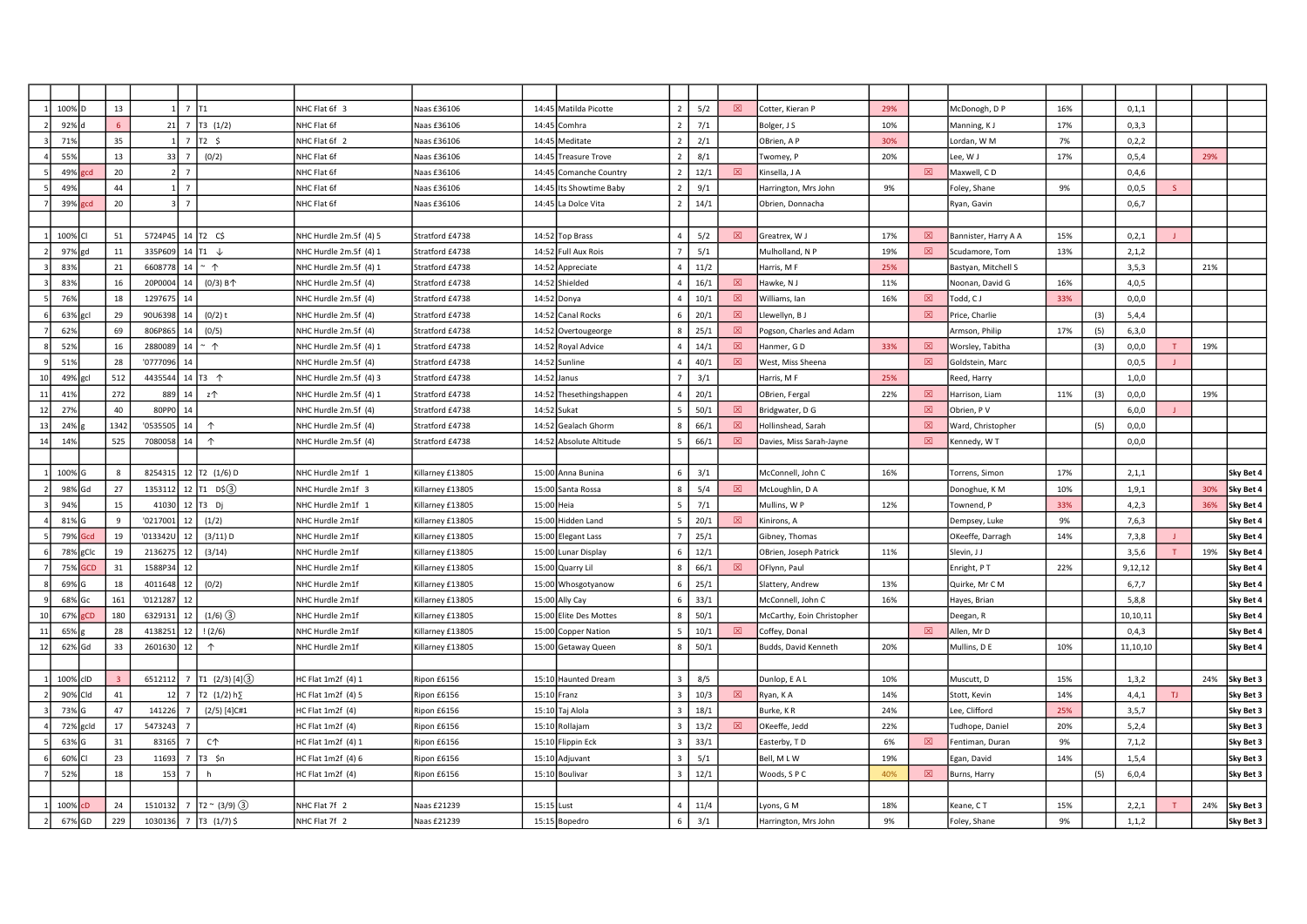|        | 100%       |      | 13           |             | 1 $\frac{1}{7}$ $\frac{1}{11}$      |                       | NHC Flat 6f 3          | Naas £36106      |             | 14:45 Matilda Picotte   | $\overline{\phantom{a}}$ | 5/2  | 図           | Cotter, Kieran P           | 29% |             | McDonogh, D P        | 16% |     | 0, 1, 1  |    |     |           |
|--------|------------|------|--------------|-------------|-------------------------------------|-----------------------|------------------------|------------------|-------------|-------------------------|--------------------------|------|-------------|----------------------------|-----|-------------|----------------------|-----|-----|----------|----|-----|-----------|
|        | 92%        |      |              | $21$ 7      |                                     | T3(1/2)               | NHC Flat 6f            | Naas £36106      |             | 14:45 Comhra            |                          | 7/1  |             | Bolger, J S                | 10% |             | Manning, KJ          | 17% |     | 0,3,3    |    |     |           |
|        | 71%        |      | 35           |             | $1 \overline{7}$                    | T2 \$                 | NHC Flat 6f 2          | Naas £36106      |             | 14:45 Meditate          | $\overline{2}$           | 2/1  |             | OBrien, A P                | 30% |             | Lordan, W M          | 7%  |     | 0, 2, 2  |    |     |           |
|        | 55%        |      | 13           | $33 \mid 7$ |                                     | (0/2)                 | NHC Flat 6f            | Naas £36106      |             | 14:45 Treasure Trove    |                          | 8/1  |             | Twomey, P                  | 20% |             | Lee, W J             | 17% |     | 0, 5, 4  |    | 29% |           |
|        | 49%        | مددا | 20           |             | $\overline{7}$                      |                       | NHC Flat 6f            | Naas £36106      |             | 14:45 Comanche Country  |                          | 12/1 | 図           | Kinsella, J A              |     | 図           | Maxwell, CD          |     |     | 0,4,6    |    |     |           |
|        | 49%        |      | 44           |             | $1 \overline{7}$                    |                       | NHC Flat 6f            | Naas £36106      |             | 14:45 Its Showtime Baby | 2                        | 9/1  |             | Harrington, Mrs John       | 9%  |             | Foley, Shane         | 9%  |     | 0,0,5    | S. |     |           |
|        | 39%        |      | 20           |             | $3 \overline{2}$                    |                       | NHC Flat 6f            | Naas £36106      |             | 14:45 La Dolce Vita     | $\overline{2}$           | 14/1 |             | Obrien, Donnacha           |     |             | Ryan, Gavin          |     |     | 0,6,7    |    |     |           |
|        |            |      |              |             |                                     |                       |                        |                  |             |                         |                          |      |             |                            |     |             |                      |     |     |          |    |     |           |
|        | 100%       |      | 51           | 5724P45     | $14$ T <sub>2</sub> C <sub>\$</sub> |                       | NHC Hurdle 2m.5f (4) 5 | Stratford £4738  |             | 14:52 Top Brass         | $\Delta$                 | 5/2  | 図           | Greatrex, W J              | 17% | 図           | Bannister, Harry A A | 15% |     | 0,2,1    |    |     |           |
|        | 97%<br>gd  |      | 11           | 335P609     | 14 $\vert$ T1 $\downarrow$          |                       | NHC Hurdle 2m.5f (4) 1 | Stratford £4738  |             | 14:52 Full Aux Rois     |                          | 5/1  |             | Mulholland, N P            | 19% | 図           | Scudamore, Tom       | 13% |     | 2,1,2    |    |     |           |
|        | 83%        |      | 21           | 6608778     | 14                                  | $~\hat{}~$ 1          | NHC Hurdle 2m.5f (4) 1 | Stratford £4738  |             | 14:52 Appreciate        |                          | 11/2 |             | Harris, M F                | 25% |             | Bastyan, Mitchell S  |     |     | 3, 5, 3  |    | 21% |           |
|        | 83%        |      | 16           | 20P0004     | 14                                  | $(0/3)$ B $\uparrow$  | NHC Hurdle 2m.5f (4)   | Stratford £4738  |             | 14:52 Shielded          |                          | 16/1 | 図           | Hawke, N J                 | 11% |             | Noonan, David G      | 16% |     | 4,0,5    |    |     |           |
|        | 76%        |      | 18           | 1297675     | 14                                  |                       | NHC Hurdle 2m.5f (4)   | Stratford £4738  |             | 14:52 Donya             |                          | 10/1 | 冈           | Williams, Ian              | 16% | 冈           | Todd, CJ             | 33% |     | 0, 0, 0  |    |     |           |
|        | 63%<br>gcl |      | 29           | 90U6398     | 14                                  | $(0/2)$ t             | NHC Hurdle 2m.5f (4)   | Stratford £4738  |             | 14:52 Canal Rocks       |                          | 20/1 | $\boxtimes$ | Llewellyn, B J             |     | $\boxtimes$ | Price, Charlie       |     | (3) | 5,4,4    |    |     |           |
|        | 629        |      | 69           | 806P865     | 14                                  | (0/5)                 | NHC Hurdle 2m.5f (4)   | Stratford £4738  |             | 14:52 Overtougeorge     |                          | 25/1 | $\boxtimes$ | Pogson, Charles and Adam   |     |             | Armson, Philip       | 17% | (5) | 6, 3, 0  |    |     |           |
|        | 52%        |      | 16           | 2880089     | 14                                  | $~\hat{}~$            | NHC Hurdle 2m.5f (4) 1 | Stratford £4738  |             | 14:52 Royal Advice      |                          | 14/1 | 図           | Hanmer, GD                 | 33% | 図           | Worsley, Tabitha     |     | (3) | 0,0,0    |    | 19% |           |
|        | 51%        |      | 28           | '0777096    | - 14                                |                       | NHC Hurdle 2m.5f (4)   | Stratford £4738  |             | 14:52 Sunline           |                          | 40/1 | 図           | West, Miss Sheena          |     | 図           | Goldstein, Marc      |     |     | 0,0,5    |    |     |           |
| 10     | 49%<br>gcl |      | 512          | 4435544     | 14 $\overline{13}$ $\uparrow$       |                       | NHC Hurdle 2m.5f (4) 3 | Stratford £4738  |             | 14:52 Janus             |                          | 3/1  |             | Harris, M F                | 25% |             | Reed, Harry          |     |     | 1,0,0    |    |     |           |
| $11\,$ | 419        |      | 272          | 889         | 14                                  | z个                    | NHC Hurdle 2m.5f (4) 1 | Stratford £4738  |             | 14:52 Thesethingshappen |                          | 20/1 |             | OBrien, Fergal             | 22% | 図           | Harrison, Liam       | 11% | (3) | 0, 0, 0  |    | 19% |           |
| 12     | 279        |      | 40           | 80PP0       | 14                                  |                       | NHC Hurdle 2m.5f (4)   | Stratford £4738  | 14:52 Sukat |                         |                          | 50/1 | 図           | Bridgwater, D G            |     | $\boxtimes$ | Obrien, P V          |     |     | 6,0,0    |    |     |           |
| 13     | 24%        |      | 134          | '0535505    | 14                                  | $\uparrow$            | NHC Hurdle 2m.5f (4)   | Stratford £4738  |             | 14:52 Gealach Ghorm     |                          | 66/1 | 図           | Iollinshead, Sarah         |     | $\boxtimes$ | Ward, Christopher    |     | (5) | 0,0,0    |    |     |           |
| 14     | 14%        |      | 525          | 7080058     | 14                                  | $\uparrow$            | NHC Hurdle 2m.5f (4)   | Stratford £4738  |             | 14:52 Absolute Altitude |                          | 66/1 | 図           | Davies, Miss Sarah-Jayne   |     | 図           | Kennedy, W T         |     |     | 0, 0, 0  |    |     |           |
|        |            |      |              |             |                                     |                       |                        |                  |             |                         |                          |      |             |                            |     |             |                      |     |     |          |    |     |           |
|        | 100%       |      | 8            |             |                                     | 8254315 12 T2 (1/6) D | NHC Hurdle 2m1f 1      | Killarnev £13805 |             | 15:00 Anna Bunina       |                          | 3/1  |             | McConnell, John C          | 16% |             | Torrens, Simon       | 17% |     | 2,1,1    |    |     | Sky Bet 4 |
|        | 98%        | Gd   | 27           | 1353112     | 12                                  | T1DS(3)               | NHC Hurdle 2m1f 3      | Killarney £13805 |             | 15:00 Santa Rossa       |                          | 5/4  | 冈           | McLoughlin, D A            |     |             | Donoghue, KM         | 10% |     | 1, 9, 1  |    | 30% | Sky Bet 4 |
|        | 94%        |      | 15           | 41030       | 12                                  | T <sub>3</sub> Di     | NHC Hurdle 2m1f 1      | Killarney £13805 | 15:00 Heia  |                         |                          | 7/1  |             | Mullins, W P               | 12% |             | Townend, P           | 33% |     | 4,2,3    |    | 36% | Sky Bet 4 |
|        | 81% G      |      | $\mathbf{q}$ | '0217001    | 12                                  | (1/2)                 | NHC Hurdle 2m1f        | Killarney £13805 |             | 15:00 Hidden Land       |                          | 20/1 | 図           | Kinirons, A                |     |             | Dempsey, Luke        | 9%  |     | 7,6,3    |    |     | Sky Bet 4 |
|        | 79%        | Gcd  | 19           | '013342U    | 12                                  | (3/11) D              | NHC Hurdle 2m1f        | Killarney £13805 |             | 15:00 Elegant Lass      |                          | 25/1 |             | Gibney, Thomas             |     |             | OKeeffe, Darragh     | 14% |     | 7,3,8    |    |     | Sky Bet 4 |
|        | 78% gClc   |      | 19           | 2136275     | 12                                  | (3/14)                | NHC Hurdle 2m1f        | Killarney £13805 |             | 15:00 Lunar Display     | 6                        | 12/1 |             | OBrien, Joseph Patrick     | 11% |             | Slevin, JJ           |     |     | 3,5,6    |    | 19% | Sky Bet 4 |
|        | 75%        | sch  | 31           | 1588P34     | 12                                  |                       | NHC Hurdle 2m1f        | Killarney £13805 |             | 15:00 Quarry Lil        |                          | 66/1 | 図           | OFlynn, Paul               |     |             | Enright, PT          | 22% |     | 9,12,12  |    |     | Sky Bet 4 |
|        | 69%        |      | 18           | 4011648     | 12                                  | (0/2)                 | NHC Hurdle 2m1f        | Killarney £13805 |             | 15:00 Whosgotyanow      |                          | 25/1 |             | Slattery, Andrew           | 13% |             | Quirke, Mr C M       |     |     | 6,7,7    |    |     | Sky Bet 4 |
|        | 68%<br>Gc  |      | 161          | '0121287    | 12                                  |                       | NHC Hurdle 2m1f        | Killarney £13805 |             | 15:00 Ally Cay          |                          | 33/1 |             | McConnell, John C          | 16% |             | Hayes, Brian         |     |     | 5,8,8    |    |     | Sky Bet 4 |
| 10     | 67%        | CD   | 180          | 6329131     | 12                                  | $(1/6)$ (3)           | NHC Hurdle 2m1f        | Killarney £13805 |             | 15:00 Elite Des Mottes  |                          | 50/1 |             | McCarthy, Eoin Christopher |     |             | Deegan, R            |     |     | 10,10,11 |    |     | Sky Bet 4 |
| 11     | 65%        |      | 28           | 4138251     | 12                                  | (2/6)                 | NHC Hurdle 2m1f        | Killarney £13805 |             | 15:00 Copper Nation     |                          | 10/1 | 図           | Coffey, Donal              |     | 図           | Allen, Mr D          |     |     | 0,4,3    |    |     | Sky Bet 4 |
| 12     | 62% Gd     |      | 33           | 2601630     | 12                                  | $\uparrow$            | NHC Hurdle 2m1f        | Killarney £13805 |             | 15:00 Getaway Queen     | 8                        | 50/1 |             | Budds, David Kenneth       | 20% |             | Mullins, D E         | 10% |     | 11,10,10 |    |     | Sky Bet 4 |
|        |            |      |              |             |                                     |                       |                        |                  |             |                         |                          |      |             |                            |     |             |                      |     |     |          |    |     |           |
|        | 100%       | cID  |              | 6512112     |                                     | $T1$ (2/3) [4] 3      | HC Flat 1m2f (4) 1     | Ripon £6156      |             | 15:10 Haunted Dream     |                          | 8/5  |             | Dunlop, E A L              | 10% |             | Muscutt, D           | 15% |     | 1,3,2    |    | 24% | Sky Bet 3 |
|        | 90%        | Cld  | 41           | 12          | 7                                   | T2 $(1/2) h$          | HC Flat 1m2f (4) 5     | Ripon £6156      | 15:10 Franz |                         |                          | 10/3 | $\boxtimes$ | Ryan, K A                  | 14% |             | Stott, Kevin         | 14% |     | 4,4,1    | TJ |     | Sky Bet 3 |
|        | 73%        |      | 47           | 141226      |                                     | $(2/5)$ [4]C#1        | HC Flat 1m2f (4)       | Ripon £6156      |             | 15:10 Taj Alola         |                          | 18/1 |             | Burke, KR                  | 24% |             | Lee. Clifford        | 25% |     | 3, 5, 7  |    |     | Sky Bet 3 |
|        | 72% gcld   |      | 17           | 5473243     |                                     |                       | HC Flat 1m2f (4)       | Ripon £6156      |             | 15:10 Rollajam          |                          | 13/2 | 図           | OKeeffe, Jedd              | 22% |             | Tudhope, Daniel      | 20% |     | 5,2,4    |    |     | Sky Bet 3 |
|        | 63% G      |      | 31           | 83165       | $\overline{7}$                      | C <sub>1</sub>        | HC Flat 1m2f (4) 1     | Ripon £6156      |             | 15:10 Flippin Eck       |                          | 33/1 |             | Easterby, TD               | 6%  | 図           | Fentiman, Duran      | 9%  |     | 7,1,2    |    |     | Sky Bet 3 |
|        | 60%        |      | 23           | 11693       | 7                                   | T3 \$n                | HC Flat 1m2f (4) 6     | Ripon £6156      |             | 15:10 Adjuvant          |                          | 5/1  |             | Bell, MLW                  | 19% |             | Egan, David          | 14% |     | 1, 5, 4  |    |     | Sky Bet 3 |
|        | 52%        |      | 18           | 153         | $\overline{7}$                      | h                     | HC Flat 1m2f (4)       | Ripon £6156      |             | 15:10 Boulivar          |                          | 12/1 |             | Woods, SPC                 | 40% | 図           | Burns, Harry         |     | (5) | 6,0,4    |    |     | Sky Bet 3 |
|        |            |      |              |             |                                     |                       |                        |                  |             |                         |                          |      |             |                            |     |             |                      |     |     |          |    |     |           |
|        |            |      |              |             |                                     |                       |                        |                  |             |                         |                          |      |             |                            |     |             |                      |     |     |          |    |     |           |
|        | 100%       | 'n   | 24           | 1510132     | $\overline{7}$                      | $T2 \sim (3/9)(3)$    | NHC Flat 7f 2          | Vaas £21239      | 15:15 Lust  |                         |                          | 11/4 |             | vons, G M                  | 18% |             | Keane, CT            | 15% |     | 2,2,1    |    | 24% | Sky Bet 3 |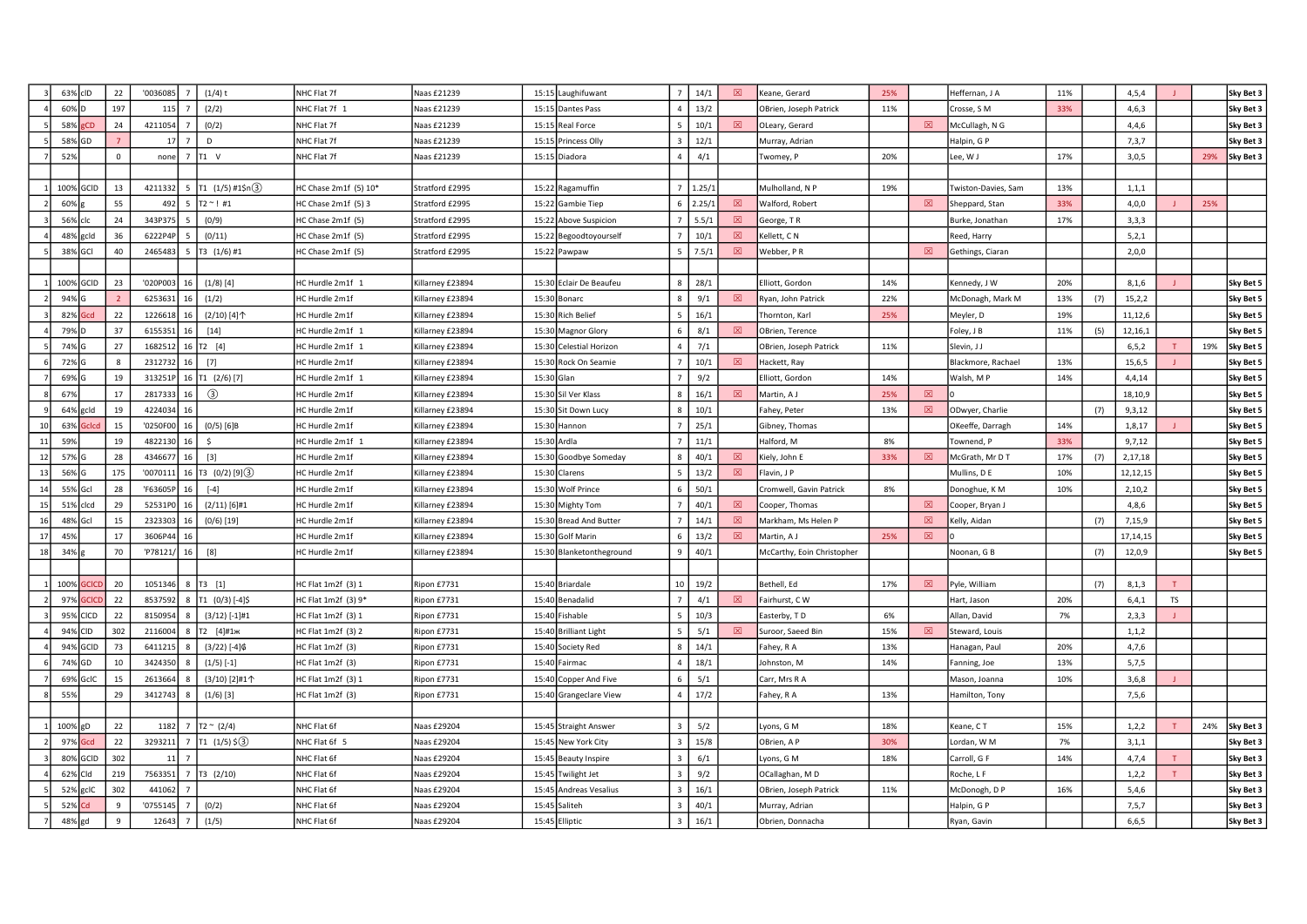|    | 63% clD   |              | 22           | '0036085 | $(1/4)$ t<br>-7             | NHC Flat 7f           | Naas £21239      |            | 15:15 Laughifuwant       | 7 <sup>1</sup>          | 14/1            | 図 | Keane, Gerard              | 25% |             | Heffernan, J A      | 11% |     | 4, 5, 4    |           |     | Sky Bet 3 |
|----|-----------|--------------|--------------|----------|-----------------------------|-----------------------|------------------|------------|--------------------------|-------------------------|-----------------|---|----------------------------|-----|-------------|---------------------|-----|-----|------------|-----------|-----|-----------|
|    | 60%       |              | 197          | 115      | (2/2)                       | NHC Flat 7f 1         | Naas £21239      |            | 15:15 Dantes Pass        |                         | 13/2            |   | OBrien, Joseph Patrick     | 11% |             | Crosse, S M         | 33% |     | 4,6,3      |           |     | Sky Bet 3 |
|    | 58%       | CП           | 24           | 4211054  | (0/2)                       | NHC Flat 7f           | Naas £21239      |            | 15:15 Real Force         | 5 <sup>5</sup>          | 10/1            | 図 | OLeary, Gerard             |     | 図           | McCullagh, N G      |     |     | 4,4,6      |           |     | Sky Bet 3 |
|    | 58%       | GD           |              | 17       | D<br>$\overline{7}$         | NHC Flat 7f           | Naas £21239      |            | 15:15 Princess Olly      | $\overline{\mathbf{3}}$ | 12/1            |   | Murray, Adrian             |     |             | Halpin, G P         |     |     | 7,3,7      |           |     | Sky Bet 3 |
|    | 52%       |              | $\Omega$     | none     | $\overline{7}$<br>T1 V      | NHC Flat 7f           | Naas £21239      |            | 15:15 Diadora            |                         | 4/1             |   | Twomey, P                  | 20% |             | Lee, W J            | 17% |     | 3,0,5      |           | 29% | Sky Bet 3 |
|    |           |              |              |          |                             |                       |                  |            |                          |                         |                 |   |                            |     |             |                     |     |     |            |           |     |           |
|    | 100%      | GCID         | 13           | 4211332  | T1 (1/5) #15n(3)<br>-5      | HC Chase 2m1f (5) 10* | Stratford £2995  |            | 15:22 Ragamuffin         |                         | $7 \mid 1.25/1$ |   | Mulholland, N P            | 19% |             | Twiston-Davies, Sam | 13% |     | 1, 1, 1    |           |     |           |
|    | 60%       |              | 55           | 492      | -5<br>T2 ~ !#1              | HC Chase $2m1f(5)3$   | Stratford £2995  |            | 15:22 Gambie Tiep        |                         | $6\quad 2.25/1$ | 冈 | Walford, Robert            |     | 冈           | Sheppard, Stan      | 33% |     | 4,0,0      |           | 25% |           |
|    | 56%       | clc          | 24           | 343P375  | (0/9)                       | HC Chase 2m1f (5)     | Stratford £2995  |            | 15:22 Above Suspicion    |                         | 5.5/1           | 図 | George, TR                 |     |             | Burke, Jonathan     | 17% |     | 3,3,3      |           |     |           |
|    | 48%       | gcld         | 36           | 6222P4P  | (0/11)                      | HC Chase 2m1f (5)     | Stratford £2995  |            | 15:22 Begoodtoyourself   |                         | 10/1            | 図 | Kellett, CN                |     |             | Reed, Harry         |     |     | 5, 2, 1    |           |     |           |
|    | 38% GCI   |              | 40           | 2465483  | T3 (1/6) #1                 | HC Chase 2m1f (5)     | Stratford £2995  |            | 15:22 Pawpaw             |                         | 7.5/1           | 図 | Webber, PR                 |     | $\boxtimes$ | Gethings, Ciaran    |     |     | 2,0,0      |           |     |           |
|    |           |              |              |          |                             |                       |                  |            |                          |                         |                 |   |                            |     |             |                     |     |     |            |           |     |           |
|    | 100% GCID |              | 23           | '020P003 | $(1/8)$ [4]<br>16           | HC Hurdle 2m1f 1      | Killarney £23894 |            | 15:30 Eclair De Beaufeu  | 8                       | 28/1            |   | Elliott, Gordon            | 14% |             | Kennedy, J W        | 20% |     | 8,1,6      |           |     | Sky Bet 5 |
|    | 94%       |              |              | 6253631  | (1/2)                       | HC Hurdle 2m1f        | Killarney £23894 |            | 15:30 Bonarc             | 8                       | 9/1             | 冈 | Ryan, John Patrick         | 22% |             | McDonagh, Mark M    | 13% | (7) | 15, 2, 2   |           |     | Sky Bet 5 |
|    | 82%       | ird          | 22           | 1226618  | (2/10) [4]个                 | HC Hurdle 2m1f        | Killarney £23894 |            | 15:30 Rich Belief        | $\overline{5}$          | 16/1            |   | Thornton, Karl             | 25% |             | Meyler, D           | 19% |     | 11,12,6    |           |     | Sky Bet 5 |
|    | 79%       |              | 37           | 6155351  | $[14]$<br>16                | HC Hurdle 2m1f 1      | Killarney £23894 |            | 15:30 Magnor Glory       |                         | 8/1             | 図 | OBrien, Terence            |     |             | Foley, J B          | 11% | (5) | 12,16,1    |           |     | Sky Bet 5 |
|    | 74% G     |              | 27           | 1682512  | T2 [4]<br>16                | HC Hurdle 2m1f 1      | Killarney £23894 |            | 15:30 Celestial Horizon  |                         | 7/1             |   | OBrien, Joseph Patrick     | 11% |             | Slevin, J J         |     |     | 6, 5, 2    |           | 19% | Sky Bet 5 |
|    | 72% G     |              | 8            | 2312732  | $[7]$<br>16                 | HC Hurdle 2m1f        | Killarney £23894 |            | 15:30 Rock On Seamie     |                         | 10/1            | ⊠ | Hackett, Ray               |     |             | Blackmore, Rachael  | 13% |     | 15,6,5     |           |     | Sky Bet 5 |
|    | 69% G     |              | 19           | 313251P  | T1 (2/6)[7]<br>16           | HC Hurdle 2m1f 1      | Killarney £23894 | 15:30 Glan |                          | $7^{\circ}$             | 9/2             |   | Elliott, Gordon            | 14% |             | Walsh, MP           | 14% |     | 4,4,14     |           |     | Sky Bet 5 |
|    | 67%       |              | 17           | 2817333  | $\circled{3}$<br>16         | HC Hurdle 2m1f        | Killarney £23894 |            | 15:30 Sil Ver Klass      | 8                       | 16/1            | 図 | Martin, A J                | 25% | 図           |                     |     |     | 18,10,9    |           |     | Sky Bet 5 |
|    | 64%       | gcld         | 19           | 4224034  | 16                          | HC Hurdle 2m1f        | Killarney £23894 |            | 15:30 Sit Down Lucy      |                         | 10/1            |   | Fahey, Peter               | 13% | $\boxtimes$ | ODwyer, Charlie     |     | (7) | 9,3,12     |           |     | Sky Bet 5 |
| 10 | 63%       |              | 15           | '0250F00 | $(0/5)$ [6]B                | HC Hurdle 2m1f        | Killarney £23894 |            | 15:30 Hannon             |                         | 25/1            |   | Gibney, Thomas             |     |             | OKeeffe, Darragh    | 14% |     | 1,8,17     |           |     | Sky Bet 5 |
| 11 | 59%       |              | 19           | 4822130  | Ŝ.<br>16                    | HC Hurdle 2m1f 1      | Killarney £23894 |            | 15:30 Ardia              |                         | 11/1            |   | Halford, M                 | 8%  |             | Townend, P          | 33% |     | 9,7,12     |           |     | Sky Bet 5 |
| 12 | 57%       |              | 28           | 4346677  | $[3]$<br>16                 | HC Hurdle 2m1f        | Killarney £23894 |            | 15:30 Goodbye Someday    |                         | 40/1            | 図 | Kiely, John E              | 33% | 図           | McGrath, Mr D T     | 17% | (7) | 2,17,18    |           |     | Sky Bet 5 |
| 13 | 56%       |              | 175          | '0070111 | 16   T3 $(0/2)$ [9] $(3)$   | HC Hurdle 2m1f        | Killarney £23894 |            | 15:30 Clarens            | 5                       | 13/2            | 図 | Flavin, J P                |     |             | Mullins, D E        | 10% |     | 12,12,15   |           |     | Sky Bet 5 |
| 14 | 55%       | Gcl          | 28           | 'F63605F | $[-4]$                      | HC Hurdle 2m1f        | Killarney £23894 |            | 15:30 Wolf Prince        |                         | 50/1            |   | Cromwell, Gavin Patrick    | 8%  |             | Donoghue, K M       | 10% |     | 2,10,2     |           |     | Sky Bet 5 |
| 15 | 51%       | clcd         | 29           | 52531PC  | $(2/11)$ [6]#1<br>16        | HC Hurdle 2m1f        | Killarney £23894 |            | 15:30 Mighty Tom         |                         | 40/1            | 冈 | Cooper, Thomas             |     | 図           | Cooper, Bryan J     |     |     | 4,8,6      |           |     | Sky Bet 5 |
| 16 | 48%       | Gcl          | 15           | 2323303  | 16<br>$(0/6)$ [19]          | HC Hurdle 2m1f        | Killarney £23894 |            | 15:30 Bread And Butter   |                         | 14/1            | 図 | Markham, Ms Helen P        |     | 図           | Kelly, Aidan        |     | (7) | 7,15,9     |           |     | Sky Bet 5 |
| 17 | 45%       |              | 17           | 3606P44  | 16                          | HC Hurdle 2m1f        | Killarney £23894 |            | 15:30 Golf Marin         |                         | 13/2            | 冈 | Martin, A J                | 25% | $\boxtimes$ |                     |     |     | 17, 14, 15 |           |     | Sky Bet 5 |
| 18 | 34%       |              | 70           | 'P78121/ | [8]<br>16                   | HC Hurdle 2m1f        | Killarney £23894 |            | 15:30 Blanketontheground | -9                      | 40/1            |   | McCarthy, Eoin Christopher |     |             | Noonan, G B         |     | (7) | 12,0,9     |           |     | Sky Bet 5 |
|    |           |              |              |          |                             |                       |                  |            |                          |                         |                 |   |                            |     |             |                     |     |     |            |           |     |           |
|    | 100%      | <b>SCICI</b> | 20           |          | 1051346 8 T3 [1]            | HC Flat 1m2f (3) 1    | Ripon £7731      |            | 15:40 Briardale          | 10 <sup>1</sup>         | 19/2            |   | Bethell, Ed                | 17% | 図           | Pyle, William       |     | (7) | 8,1,3      |           |     |           |
|    | 97%       |              | 22           | 8537592  | T1 (0/3) [-4]\$<br>8        | HC Flat 1m2f (3) 9*   | Ripon £7731      |            | 15:40 Benadalid          | $\overline{7}$          | 4/1             | ⊠ | Fairhurst, CW              |     |             | Hart, Jason         | 20% |     | 6,4,1      | <b>TS</b> |     |           |
|    | 95%       | CICD         | 22           | 8150954  | $(3/12)$ [-1]#1             | HC Flat 1m2f (3) 1    | Ripon £7731      |            | 15:40 Fishable           |                         | 10/3            |   | Easterby, TD               | 6%  |             | Allan, David        | 7%  |     | 2,3,3      |           |     |           |
|    | 94%       | CID          | 302          | 2116004  | Т2 [4]#1ж<br>я              | HC Flat 1m2f (3) 2    | Ripon £7731      |            | 15:40 Brilliant Light    | -5                      | 5/1             | 冈 | Suroor, Saeed Bin          | 15% | 冈           | Steward, Louis      |     |     | 1, 1, 2    |           |     |           |
|    | 94%       | GCID         | 73           | 641121   | $(3/22)$ [-4] $6$           | HC Flat 1m2f (3)      | Ripon £7731      |            | 15:40 Society Red        | 8                       | 14/1            |   | Fahey, R A                 | 13% |             | Hanagan, Paul       | 20% |     | 4,7,6      |           |     |           |
|    | 74%       | GD           | 10           | 3424350  | $(1/5)$ [-1]                | HC Flat 1m2f (3)      | Ripon £7731      |            | 15:40 Fairmac            | $\overline{4}$          | 18/1            |   | Johnston, M                | 14% |             | Fanning, Joe        | 13% |     | 5,7,5      |           |     |           |
|    | 69%       | GcIC         | 15           | 2613664  | (3/10) [2]#1个               | HC Flat 1m2f (3) 1    | Ripon £7731      |            | 15:40 Copper And Five    |                         | 5/1             |   | Carr, Mrs R A              |     |             | Mason, Joanna       | 10% |     | 3,6,8      |           |     |           |
|    | 559       |              | 29           | 3412743  | $(1/6)$ [3]                 | HC Flat 1m2f (3)      | Ripon £7731      |            | 15:40 Grangeclare View   | $\overline{4}$          | 17/2            |   | Fahey, R A                 | 13% |             | Hamilton, Tony      |     |     | 7,5,6      |           |     |           |
|    |           |              |              |          |                             |                       |                  |            |                          |                         |                 |   |                            |     |             |                     |     |     |            |           |     |           |
|    | 100%      | gD           | 22           | 1182     | $T2 \sim (2/4)$             | NHC Flat 6f           | Naas £29204      |            | 15:45 Straight Answer    | $\overline{3}$          | 5/2             |   | yons, G M                  | 18% |             | Keane, CT           | 15% |     | 1, 2, 2    |           | 24% | Sky Bet 3 |
|    | 97%       | Gcd          | 22           | 3293211  | $T1 (1/5)$ \$(3)<br>-7      | NHC Flat 6f 5         | Naas £29204      |            | 15:45 New York City      | $\mathbf{3}$            | 15/8            |   | OBrien, A P                | 30% |             | Lordan, W M         | 7%  |     | 3,1,1      |           |     | Sky Bet 3 |
|    | 80%       | GCID         | 302          | 11       |                             | NHC Flat 6f           | Naas £29204      |            | 15:45 Beauty Inspire     | $\overline{\mathbf{3}}$ | 6/1             |   | Lyons, G M                 | 18% |             | Carroll, G F        | 14% |     | 4,7,4      |           |     | Sky Bet 3 |
|    | 62%       | Cld          | 219          | 7563351  | $\overline{7}$<br>T3 (2/10) | NHC Flat 6f           | Naas £29204      |            | 15:45 Twilight Jet       | $\overline{3}$          | 9/2             |   | OCallaghan, MD             |     |             | Roche, L F          |     |     | 1,2,2      |           |     | Sky Bet 3 |
|    | 52%       | gcIC         | 302          | 441062   |                             | NHC Flat 6f           | Naas £29204      |            | 15:45 Andreas Vesalius   |                         | 16/1            |   | OBrien, Joseph Patrick     | 11% |             | McDonogh, D P       | 16% |     | 5,4,6      |           |     | Sky Bet 3 |
|    | 52%       |              | $\mathbf{q}$ | '075514  | (0/2)                       | NHC Flat 6f           | Naas £29204      |            | 15:45 Saliteh            |                         | 40/1            |   | Murray, Adrian             |     |             | Halpin, GP          |     |     | 7, 5, 7    |           |     | Sky Bet 3 |
|    | 48%       | gd           | $\mathbf{q}$ | 12643    | (1/5)                       | NHC Flat 6f           | Naas £29204      |            | 15:45 Elliptic           |                         | 16/1            |   | Obrien, Donnacha           |     |             | Ryan, Gavin         |     |     | 6, 6, 5    |           |     | Sky Bet 3 |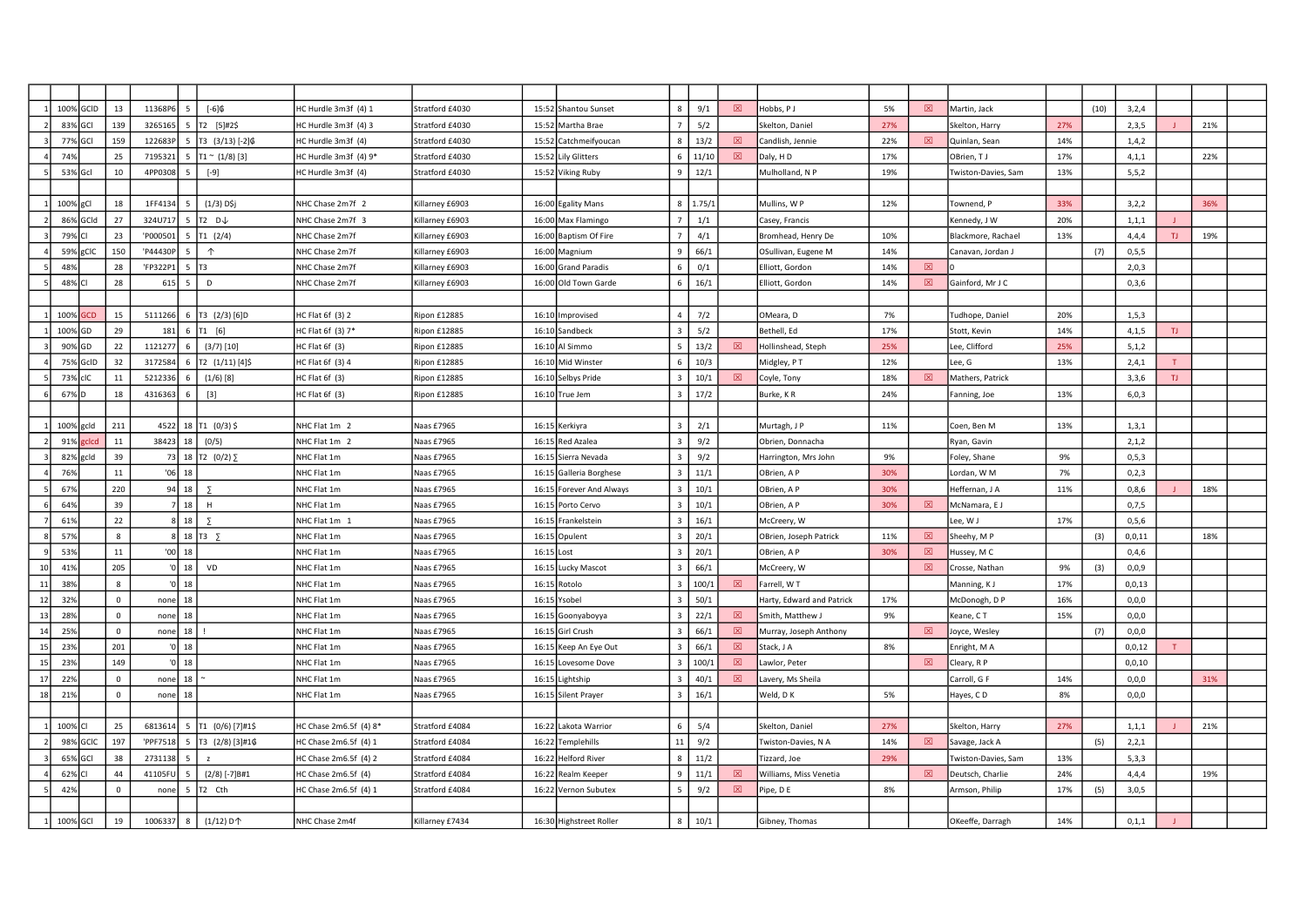|    | 100%     | GCID        | 13           | 11368P6  |               | $[-6]$ \$                                   | HC Hurdle 3m3f (4) 1   | Stratford £4030 |            | 15:52 Shantou Sunset     |                         | 9/1             | 冈           | Hobbs, PJ                 | 5%  | 冈           | Martin, Jack        |     | (10) | 3,2,4    |     |     |  |
|----|----------|-------------|--------------|----------|---------------|---------------------------------------------|------------------------|-----------------|------------|--------------------------|-------------------------|-----------------|-------------|---------------------------|-----|-------------|---------------------|-----|------|----------|-----|-----|--|
|    | 83%      | GCI         | 139          | 3265165  |               | T2 [5]#2\$                                  | HC Hurdle 3m3f (4) 3   | Stratford £4030 |            | 15:52 Martha Brae        |                         | 5/2             |             | Skelton, Daniel           | 27% |             | Skelton, Harry      | 27% |      | 2,3,5    |     | 21% |  |
|    | 77%      | GCI         | 159          | 122683F  | 5             | T3 (3/13) [-2] \$                           | HC Hurdle 3m3f (4)     | Stratford £4030 |            | 15:52 Catchmeifyoucan    |                         | 13/2            | 図           | Candlish, Jennie          | 22% | 図           | Quinlan, Sean       | 14% |      | 1,4,2    |     |     |  |
|    | 74%      |             | 25           | 7195321  |               | $T1 \sim (1/8)$ [3]                         | HC Hurdle 3m3f (4) 9*  | Stratford £4030 |            | 15:52 Lily Glitters      |                         | 11/10           | 図           | Daly, H D                 | 17% |             | OBrien, TJ          | 17% |      | 4, 1, 1  |     | 22% |  |
|    | 53%      | Gcl         | 10           | 4PP0308  | 5             | $[-9]$                                      | HC Hurdle 3m3f (4)     | Stratford £4030 |            | 15:52 Viking Ruby        |                         | 12/1            |             | Mulholland, N P           | 19% |             | Twiston-Davies, Sam | 13% |      | 5, 5, 2  |     |     |  |
|    |          |             |              |          |               |                                             |                        |                 |            |                          |                         |                 |             |                           |     |             |                     |     |      |          |     |     |  |
|    | 100%     | $\sigma$ Cl | 18           | 1FF4134  | Г,            | $(1/3)$ D\$j                                | NHC Chase 2m7f 2       | Killarney £6903 |            | 16:00 Egality Mans       |                         | $8 \mid 1.75/2$ |             | Mullins, W P              | 12% |             | Townend, P          | 33% |      | 3,2,2    |     | 36% |  |
|    | 86%      | GCId        | 27           | 324U717  |               | T2 D↓                                       | NHC Chase 2m7f 3       | Killarney £6903 |            | 16:00 Max Flamingo       |                         | 1/1             |             | Casey, Francis            |     |             | Kennedy, J W        | 20% |      | 1, 1, 1  |     |     |  |
|    | 79%      |             | 23           | 'P000501 | 5             | T1 (2/4)                                    | NHC Chase 2m7f         | Killarney £6903 |            | 16:00 Baptism Of Fire    |                         | 4/1             |             | Bromhead, Henry De        | 10% |             | Blackmore, Rachael  | 13% |      | 4.4.4    | TJ. | 19% |  |
|    | 59%      | gCIC        | 150          | 'P44430P | -5            | $\uparrow$                                  | NHC Chase 2m7f         | Killarney £6903 |            | 16:00 Magnium            |                         | 66/1            |             | OSullivan, Eugene M       | 14% |             | Canavan, Jordan J   |     | (7)  | 0, 5, 5  |     |     |  |
|    | 48%      |             | 28           | 'FP322P1 | 5             | T3                                          | NHC Chase 2m7f         | Killarney £6903 |            | 16:00 Grand Paradis      |                         | 0/1             |             | Elliott, Gordon           | 14% | $\boxtimes$ |                     |     |      | 2,0,3    |     |     |  |
|    | 48%      |             | 28           | 615      | 5             | D                                           | NHC Chase 2m7f         | Killarney £6903 |            | 16:00 Old Town Garde     |                         | 16/1            |             | Elliott, Gordon           | 14% | 図           | Gainford, Mr J C    |     |      | 0, 3, 6  |     |     |  |
|    |          |             |              |          |               |                                             |                        |                 |            |                          |                         |                 |             |                           |     |             |                     |     |      |          |     |     |  |
|    | 100%     | GCD         | 15           | 5111266  | 6             | T3 (2/3) [6]D                               | HC Flat 6f (3) 2       | Ripon £12885    |            | 16:10 Improvised         | $\overline{a}$          | 7/2             |             | OMeara, D                 | 7%  |             | Tudhope, Daniel     | 20% |      | 1, 5, 3  |     |     |  |
|    | 100%     | GD          | 29           | 181      | 6             | T1 [6]                                      | HC Flat 6f (3) 7*      | Ripon £12885    |            | 16:10 Sandbeck           |                         | 5/2             |             | Bethell, Ed               | 17% |             | Stott, Kevin        | 14% |      | 4,1,5    | TJ. |     |  |
|    | 90%      | IGD         | 22           | 1121277  |               | $(3/7)$ [10]                                | HC Flat 6f (3)         | Ripon £12885    |            | 16:10 Al Simmo           |                         | 13/2            | 冈           | Hollinshead, Steph        | 25% |             | Lee, Clifford       | 25% |      | 5,1,2    |     |     |  |
|    | 75% GcID |             | 32           | 3172584  | -6            | T2 (1/11)[4]\$                              | HC Flat 6f (3) 4       | Ripon £12885    |            | 16:10 Mid Winster        |                         | 10/3            |             | Midgley, P T              | 12% |             | Lee, G              | 13% |      | 2,4,1    |     |     |  |
|    | 73% cIC  |             | 11           | 5212336  |               | $(1/6)$ [8]                                 | HC Flat 6f (3)         | Ripon £12885    |            | 16:10 Selbys Pride       |                         | 10/1            | 図           | Coyle, Tony               | 18% | 冈           | Mathers, Patrick    |     |      | 3.3.6    | TJ  |     |  |
|    | 67%D     |             | 18           | 4316363  |               | $[3]$                                       | HC Flat 6f (3)         | Ripon £12885    |            | 16:10 True Jem           |                         | 17/2            |             | Burke, KR                 | 24% |             | Fanning, Joe        | 13% |      | 6,0,3    |     |     |  |
|    |          |             |              |          |               |                                             |                        |                 |            |                          |                         |                 |             |                           |     |             |                     |     |      |          |     |     |  |
|    | 100%     | gcld        | 211          | 4522     | 18            | T1 (0/3) \$                                 | NHC Flat 1m 2          | Vaas £7965      |            | 16:15 Kerkiyra           |                         | 2/1             |             | Murtagh, J P              | 11% |             | Coen, Ben M         | 13% |      | 1, 3, 1  |     |     |  |
|    | 91%      | clcc        | 11           | 38423 18 |               | (0/5)                                       | NHC Flat 1m 2          | Vaas £7965      |            | 16:15 Red Azalea         |                         | 9/2             |             | Obrien, Donnacha          |     |             | Ryan, Gavin         |     |      | 2,1,2    |     |     |  |
|    | 82%      | gcld        | 39           |          |               | 73 18 T2 $(0/2)$ $\Sigma$                   | NHC Flat 1m            | Naas £7965      |            | 16:15 Sierra Nevada      |                         | 9/2             |             | Harrington, Mrs John      | 9%  |             | Foley, Shane        | 9%  |      | 0, 5, 3  |     |     |  |
|    | 76%      |             | 11           |          | $'06$ 18      |                                             | NHC Flat 1m            | Naas £7965      |            | 16:15 Galleria Borghese  | $\overline{\mathbf{3}}$ | 11/1            |             | OBrien, A P               | 30% |             | Lordan, W M         | 7%  |      | 0, 2, 3  |     |     |  |
|    | 679      |             | 220          |          | $94$ 18       | $\overline{z}$                              | NHC Flat 1m            | Naas £7965      |            | 16:15 Forever And Always |                         | 10/1            |             | OBrien, A P               | 30% |             | Heffernan, J A      | 11% |      | 0,8,6    |     | 18% |  |
|    | 64%      |             | 39           |          | $7 \mid 18$   | H                                           | NHC Flat 1m            | Naas £7965      |            | 16:15 Porto Cervo        |                         | 10/1            |             | OBrien, A P               | 30% | $\boxtimes$ | McNamara, EJ        |     |      | 0,7,5    |     |     |  |
|    | 619      |             | 22           |          | $8 \mid 18$   |                                             | NHC Flat 1m 1          | Naas £7965      |            | 16:15 Frankelstein       |                         | 16/1            |             | McCreery, W               |     |             | Lee, W J            | 17% |      | 0, 5, 6  |     |     |  |
|    | 57%      |             | $\mathbf{8}$ |          |               | 8 18 T3 $\sum$                              | NHC Flat 1m            | Naas £7965      |            | 16:15 Opulent            |                         | 20/1            |             | OBrien, Joseph Patrick    | 11% | $\boxtimes$ | Sheehy, MP          |     | (3)  | 0,0,11   |     | 18% |  |
|    | 53%      |             | 11           |          | $'00$ 18      |                                             | NHC Flat 1m            | Naas £7965      | 16:15 Lost |                          |                         | 20/1            |             | OBrien, A P               | 30% | 図           | Hussey, M C         |     |      | 0,4,6    |     |     |  |
| 10 | 419      |             | 205          |          | $ 0 $ 18      | VD                                          | NHC Flat 1m            | Naas £7965      |            | 16:15 Lucky Mascot       |                         | 66/1            |             | McCreery, W               |     | 図           | Crosse, Nathan      | 9%  | (3)  | 0,0,9    |     |     |  |
| 11 | 389      |             | $\mathbf{8}$ |          | $\sqrt{0}$ 18 |                                             | NHC Flat 1m            | Naas £7965      |            | 16:15 Rotolo             |                         | 100/1           | 図           | Farrell, W T              |     |             | Manning, KJ         | 17% |      | 0,0,13   |     |     |  |
| 12 | 329      |             | $\Omega$     | none     | 18            |                                             | NHC Flat 1m            | Naas £7965      |            | 16:15 Ysobel             |                         | 50/1            |             | Harty, Edward and Patrick | 17% |             | McDonogh, D P       | 16% |      | 0,0,0    |     |     |  |
| 13 | 289      |             | $\Omega$     | none     | 18            |                                             | NHC Flat 1m            | Naas £7965      |            | 16:15 Goonyaboyya        |                         | 22/1            | 冈           | Smith, Matthew J          | 9%  |             | Keane, CT           | 15% |      | 0.0.0    |     |     |  |
| 14 | 25%      |             | $\Omega$     | none 18  |               |                                             | NHC Flat 1m            | Naas £7965      |            | 16:15 Girl Crush         |                         | 66/1            | 図           | Murray, Joseph Anthony    |     | 冈           | Joyce, Wesley       |     | (7)  | 0, 0, 0  |     |     |  |
| 15 | 23%      |             | 201          |          | $\sqrt{0}$ 18 |                                             | NHC Flat 1m            | Naas £7965      |            | 16:15 Keep An Eye Out    |                         | 66/1            | $\boxtimes$ | Stack, J A                | 8%  |             | Enright, M A        |     |      | 0,0,12   | Τ.  |     |  |
| 15 | 23%      |             | 149          |          | $\sqrt{0}$ 18 |                                             | NHC Flat 1m            | Naas £7965      |            | 16:15 Lovesome Dove      | $\mathbf{3}$            | 100/1           | 図           | Lawlor, Peter             |     | 図           | Cleary, R P         |     |      | 0, 0, 10 |     |     |  |
| 17 | 229      |             | $\Omega$     | none     | 18            |                                             | NHC Flat 1m            | Naas £7965      | 16:15      | Lightship                |                         | 40/1            | $\boxtimes$ | Lavery, Ms Sheila         |     |             | Carroll, G F        | 14% |      | 0, 0, 0  |     | 31% |  |
| 18 | 219      |             | $\mathbf 0$  | none     | 18            |                                             | NHC Flat 1m            | Naas £7965      |            | 16:15 Silent Prayer      |                         | 16/1            |             | Weld, D K                 | 5%  |             | Hayes, CD           | 8%  |      | 0,0,0    |     |     |  |
|    |          |             |              |          |               |                                             |                        |                 |            |                          |                         |                 |             |                           |     |             |                     |     |      |          |     |     |  |
|    | 100%     |             | 25           | 6813614  | -5            | T1 (0/6) [7]#1\$                            | HC Chase 2m6.5f (4) 8* | Stratford £4084 |            | 16:22 Lakota Warrior     | -6                      | 5/4             |             | Skelton, Daniel           | 27% |             | Skelton, Harry      | 27% |      | 1, 1, 1  |     | 21% |  |
|    | 98%      | <b>GCIC</b> | 197          | 'PPF7518 |               | 5 T3 (2/8) [3]#1\$                          | HC Chase 2m6.5f (4) 1  | Stratford £4084 |            | 16:22 Templehills        | 11                      | 9/2             |             | Twiston-Davies, N A       | 14% | ⊠           | Savage, Jack A      |     | (5)  | 2,2,1    |     |     |  |
|    | 65%      | <b>GCI</b>  | 38           | 2731138  | 5             | $\overline{z}$                              | HC Chase 2m6.5f (4) 2  | Stratford £4084 |            | 16:22 Helford River      |                         | 11/2            |             | Tizzard, Joe              | 29% |             | Twiston-Davies, Sam | 13% |      | 5,3,3    |     |     |  |
|    | 62%      |             | 44           | 41105FL  |               | $(2/8)$ [-7]B#1                             | HC Chase 2m6.5f (4)    | Stratford £4084 |            | 16:22 Realm Keeper       |                         | 11/1            | 冈           | Williams, Miss Venetia    |     | 冈           | Deutsch, Charlie    | 24% |      | 4,4,4    |     | 19% |  |
|    | 42%      |             | $\Omega$     | none     | 5             | T2 Cth                                      | HC Chase 2m6.5f (4) 1  | Stratford £4084 |            | 16:22 Vernon Subutex     |                         | 9/2             | $\boxtimes$ | Pipe, D E                 | 8%  |             | Armson, Philip      | 17% | (5)  | 3,0,5    |     |     |  |
|    |          |             |              |          |               |                                             |                        |                 |            |                          |                         |                 |             |                           |     |             |                     |     |      |          |     |     |  |
|    | 100% GCI |             | 19           | 1006337  | 8             | $(1/12)$ D <sup><math>\uparrow</math></sup> | NHC Chase 2m4f         | Killarney £7434 |            | 16:30 Highstreet Roller  | 8                       | 10/1            |             | Gibney, Thomas            |     |             | OKeeffe, Darragh    | 14% |      | 0,1,1    |     |     |  |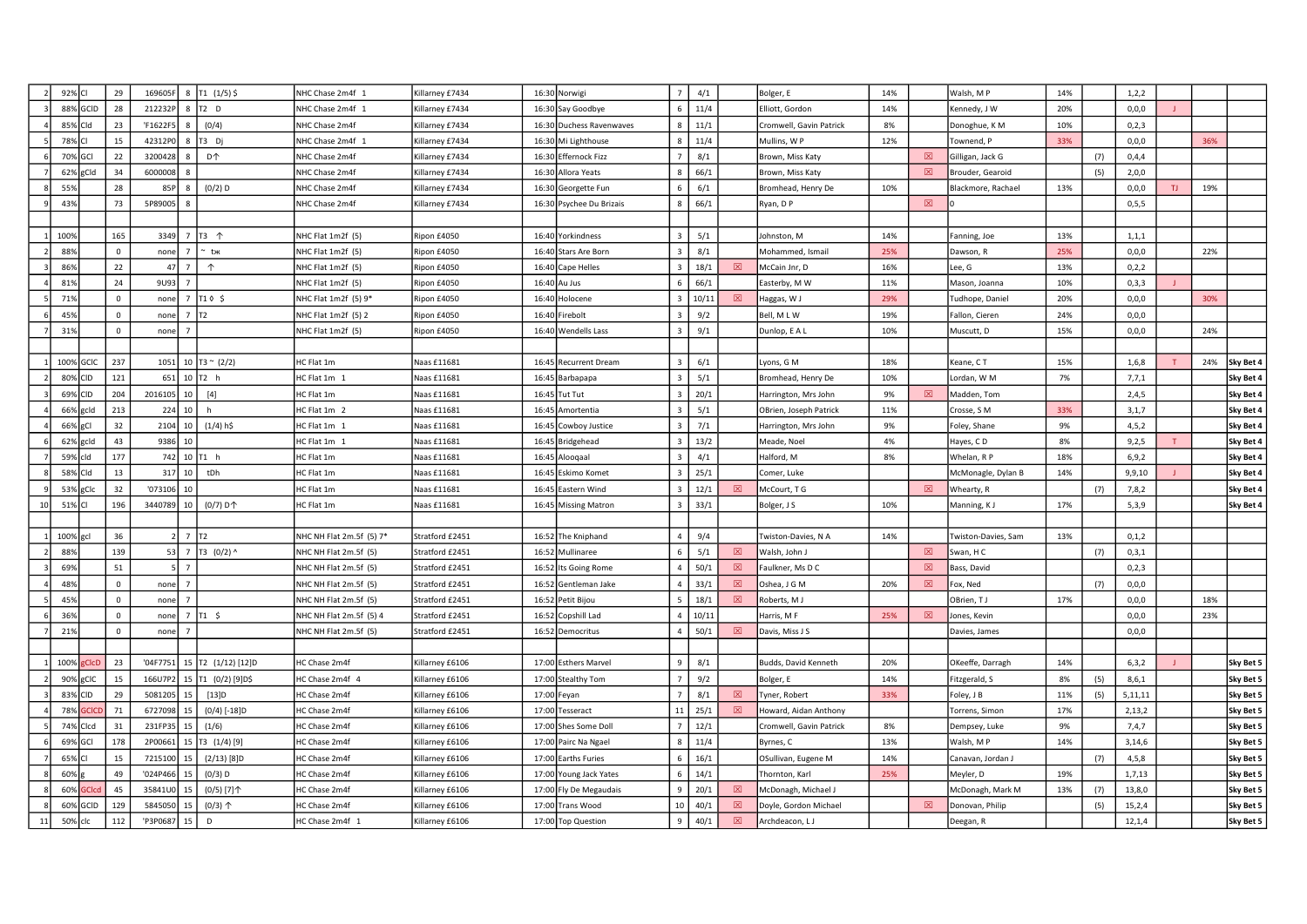|    | 92% CI     |             | 29           | 169605F  |                 | 8   T1 $(1/5)$ \$     | NHC Chase 2m4f 1         | Killarney £7434                                                                                                                                                                                                                                         |       | 16:30 Norwigi            | $\overline{7}$          | 4/1   |             | Bolger, E               | 14%   |             | Walsh, MP           | 14% |     | 1,2,2    |     |     |           |
|----|------------|-------------|--------------|----------|-----------------|-----------------------|--------------------------|---------------------------------------------------------------------------------------------------------------------------------------------------------------------------------------------------------------------------------------------------------|-------|--------------------------|-------------------------|-------|-------------|-------------------------|-------|-------------|---------------------|-----|-----|----------|-----|-----|-----------|
|    |            | 88% GCID    | 28           | 212232F  |                 | $8$ $T2$ D            | NHC Chase 2m4f 1         | Killarney £7434                                                                                                                                                                                                                                         |       | 16:30 Say Goodbye        |                         | 11/4  |             | Elliott, Gordon         | 14%   |             | Kennedy, J W        | 20% |     | 0, 0, 0  |     |     |           |
|    | 85% Cld    |             | 23           | 'F1622F5 | 8               | (0/4)                 | NHC Chase 2m4f           | Killarney £7434                                                                                                                                                                                                                                         |       | 16:30 Duchess Ravenwaves | 8                       | 11/1  |             | Cromwell, Gavin Patrick | 8%    |             | Donoghue, KM        | 10% |     | 0, 2, 3  |     |     |           |
|    | 78% CI     |             | 15           | 42312PO  | 8               | T3 Dj                 | NHC Chase 2m4f 1         | Killarney £7434                                                                                                                                                                                                                                         |       | 16:30 Mi Lighthouse      |                         | 11/4  |             | Mullins, W P            | 12%   |             | Townend, P          | 33% |     | 0,0,0    |     | 36% |           |
|    | 70% GCI    |             | 22           | 320042   |                 | <b>D个</b>             | NHC Chase 2m4f           | Gillarney £7434                                                                                                                                                                                                                                         |       | 16:30 Effernock Fizz     |                         | 8/1   |             | Brown, Miss Katy        |       | $\boxtimes$ | Gilligan, Jack G    |     | (7) | 0,4,4    |     |     |           |
|    | 62% gCld   |             | 34           | 6000008  |                 |                       | NHC Chase 2m4f           | Gillarney £7434                                                                                                                                                                                                                                         |       | 16:30 Allora Yeats       |                         | 66/1  |             | Brown, Miss Katy        |       | 図           | Brouder, Gearoid    |     | (5) | 2,0,0    |     |     |           |
|    | 55%        |             | 28           | 85F      | 8               | $(0/2)$ D             | NHC Chase 2m4f           | Killarney £7434                                                                                                                                                                                                                                         |       | 16:30 Georgette Fun      |                         | 6/1   |             | Bromhead, Henry De      | 10%   |             | Blackmore, Rachael  | 13% |     | 0, 0, 0  | TJ. | 19% |           |
|    | 43%        |             | 73           | 5P89005  | 8               |                       | NHC Chase 2m4f           | Killarney £7434                                                                                                                                                                                                                                         |       | 16:30 Psychee Du Brizais |                         | 66/1  |             | Ryan, D P               |       | $\boxtimes$ |                     |     |     | 0, 5, 5  |     |     |           |
|    |            |             |              |          |                 |                       |                          |                                                                                                                                                                                                                                                         |       |                          |                         |       |             |                         |       |             |                     |     |     |          |     |     |           |
|    | 100%       |             | 165          | 3349     |                 | 7 T3 个                | NHC Flat 1m2f (5)        | Ripon £4050                                                                                                                                                                                                                                             |       | 16:40 Yorkindness        | $\mathbf{R}$            | 5/1   |             | Johnston, M             | 14%   |             | Fanning, Joe        | 13% |     | 1, 1, 1  |     |     |           |
|    | 88%        |             | $\mathbf{0}$ | none     | $\overline{7}$  | tж                    | NHC Flat 1m2f (5)        | Ripon £4050                                                                                                                                                                                                                                             |       | 16:40 Stars Are Born     |                         | 8/1   |             | Mohammed, Ismail        | 25%   |             | Dawson, R           | 25% |     | 0, 0, 0  |     | 22% |           |
|    | 86%        |             | 22           | 47       | $\overline{7}$  | $\uparrow$            | NHC Flat 1m2f (5)        | lipon £4050                                                                                                                                                                                                                                             |       | 16:40 Cape Helles        |                         | 18/1  | 図           | McCain Jnr, D           | 16%   |             | ee, G               | 13% |     | 0,2,2    |     |     |           |
|    | 81%        |             | 24           | 9U93     | $\overline{7}$  |                       | NHC Flat 1m2f (5)        | Ripon £4050                                                                                                                                                                                                                                             |       | 16:40 Au Jus             |                         | 66/1  |             | Easterby, M W           | 11%   |             | Mason, Joanna       | 10% |     | 0, 3, 3  |     |     |           |
|    | 71%        |             | $\Omega$     | none     |                 | $7$ T1 $\circ$ \$     | NHC Flat 1m2f (5) 9*     | Ripon £4050                                                                                                                                                                                                                                             | 16:40 | lolocene                 | $\mathbf{a}$            | 10/11 | 冈           | Haggas, W J             | 29%   |             | Tudhope, Daniel     | 20% |     | 0,0,0    |     | 30% |           |
|    | 45%        |             | $\Omega$     | none     | $7$ $\text{T2}$ |                       | NHC Flat 1m2f (5) 2      | Ripon £4050                                                                                                                                                                                                                                             |       | 16:40 Firebolt           | $\mathbf{R}$            | 9/2   |             | Bell, MLW               | 19%   |             | Fallon, Cieren      | 24% |     | 0,0,0    |     |     |           |
|    | 319        |             | $\Omega$     | none     |                 |                       | NHC Flat 1m2f (5)        | Ripon £4050                                                                                                                                                                                                                                             |       | 16:40 Wendells Lass      | $\mathbf{a}$            | 9/1   |             | Dunlop, E A L           | 10%   |             | Muscutt, D          | 15% |     | 0,0,0    |     | 24% |           |
|    |            |             |              |          |                 |                       |                          |                                                                                                                                                                                                                                                         |       |                          |                         |       |             |                         |       |             |                     |     |     |          |     |     |           |
|    | 100% GCIC  |             | 237          | 1051     |                 | 10   T3 ~ $(2/2)$     | IC Flat 1m               | Vaas £11681                                                                                                                                                                                                                                             |       | 16:45 Recurrent Dream    |                         | 6/1   |             | Lyons, G M              | 18%   |             | Keane, CT           | 15% |     | 1,6,8    |     | 24% | Sky Bet 4 |
|    | 80% CID    |             | 121          | 651      |                 | $10$ T <sub>2</sub> h | IC Flat 1m 1             | Naas £11681                                                                                                                                                                                                                                             |       | 16:45 Barbapapa          | $\overline{\mathbf{3}}$ | 5/1   |             | Bromhead, Henry De      | 10%   |             | Lordan, W M         | 7%  |     | 7,7,1    |     |     | Sky Bet 4 |
|    | 69% CID    |             | 204          | 2016105  | 10 <sup>1</sup> | $[4]$                 | HC Flat 1m               | Naas £11681                                                                                                                                                                                                                                             |       | 16:45 Tut Tut            | $\overline{3}$          | 20/1  |             | Harrington, Mrs John    | 9%    | 図           | Madden, Tom         |     |     | 2,4,5    |     |     | Sky Bet 4 |
|    | 66% gcld   |             | 213          | 224      | 10              | h                     | $HC$ Flat 1m 2           | Naas £11681                                                                                                                                                                                                                                             |       | 16:45 Amortentia         |                         | 5/1   |             | OBrien, Joseph Patrick  | 11%   |             | Crosse, SM          | 33% |     | 3,1,7    |     |     | Sky Bet 4 |
|    | 66% gCl    |             | 32           | 2104     | 10              | $(1/4)$ h\$           | IC Flat 1m 1             | Naas £11681                                                                                                                                                                                                                                             |       | 16:45 Cowboy Justice     |                         | 7/1   |             | Harrington, Mrs John    | 9%    |             | Foley, Shane        | 9%  |     | 4, 5, 2  |     |     | Sky Bet 4 |
|    | 62% gcld   |             | 43           | 9386     | 10              |                       | IC Flat 1m 1             | Naas £11681                                                                                                                                                                                                                                             |       | 16:45 Bridgehead         |                         | 13/2  |             | Meade, Noel             | 4%    |             | Hayes, CD           | 8%  |     | 9,2,5    |     |     | Sky Bet 4 |
|    | 59% cld    |             | 177          | 742      |                 | $10$ T <sub>1</sub> h | <b>IC Flat 1m</b>        | Naas £11681                                                                                                                                                                                                                                             |       | 16:45 Alooqaal           |                         | 4/1   |             | Halford, M              | $8\%$ |             | Whelan, R P         | 18% |     | 6, 9, 2  |     |     | Sky Bet 4 |
|    | 58% Cld    |             | 13           | 317      | 10 <sup>1</sup> | tDh                   | IC Flat 1m               | Naas £11681                                                                                                                                                                                                                                             |       | 16:45 Eskimo Komet       | $\mathbf{B}$            | 25/1  |             | Comer, Luke             |       |             | McMonagle, Dylan B  | 14% |     | 9,9,10   |     |     | Sky Bet 4 |
|    | 53% gClc   |             | 32           | '073106  | 10              |                       | HC Flat 1m               | Naas £11681                                                                                                                                                                                                                                             |       | 16:45 Eastern Wind       |                         | 12/1  | 図           | McCourt, T G            |       | $\boxtimes$ | Whearty, R          |     | (7) | 7,8,2    |     |     | Sky Bet 4 |
| 10 | 51% CI     |             | 196          | 3440789  | 10              | (0/7) D个              | HC Flat 1m               | Vaas £11681                                                                                                                                                                                                                                             |       | 16:45 Missing Matron     |                         | 33/1  |             | Bolger, J S             | 10%   |             | Manning, KJ         | 17% |     | 5,3,9    |     |     | Sky Bet 4 |
|    |            |             |              |          |                 |                       |                          |                                                                                                                                                                                                                                                         |       |                          |                         |       |             |                         |       |             |                     |     |     |          |     |     |           |
|    | 100% gcl   |             | 36           |          | $7$ $172$       |                       | NHC NH Flat 2m.5f (5) 7* | Stratford £2451                                                                                                                                                                                                                                         |       | 16:52 The Kniphand       |                         | 9/4   |             | Twiston-Davies, N A     | 14%   |             | Twiston-Davies, Sam | 13% |     | 0, 1, 2  |     |     |           |
|    | 88%        |             | 139          | 53       |                 | 7 T3 $(0/2)$ ^        | NHC NH Flat 2m.5f (5)    | Stratford £2451                                                                                                                                                                                                                                         |       | 16:52 Mullinaree         |                         | 5/1   | 図           | Walsh, John J           |       | 図           | Swan, HC            |     | (7) | 0,3,1    |     |     |           |
|    | 69%        |             | 51           |          | $\overline{7}$  |                       | NHC NH Flat 2m.5f (5)    | Stratford £2451                                                                                                                                                                                                                                         |       | 16:52 Its Going Rome     | $\overline{a}$          | 50/1  | 図           | Faulkner, Ms D C        |       | 図           | Bass, David         |     |     | 0,2,3    |     |     |           |
|    | 48%        |             | $\mathbf 0$  | none     | $\overline{7}$  |                       | NHC NH Flat 2m.5f (5)    | Stratford £2451                                                                                                                                                                                                                                         |       | 16:52 Gentleman Jake     | $\overline{a}$          | 33/1  | 図           | Oshea, J G M            | 20%   | 図           | Fox, Ned            |     | (7) | 0,0,0    |     |     |           |
|    | 45%        |             | $\Omega$     | none     | $\overline{7}$  |                       | NHC NH Flat 2m.5f (5)    | Stratford £2451                                                                                                                                                                                                                                         |       | 16:52 Petit Bijou        |                         | 18/1  | 図           | Roberts, M J            |       |             | OBrien, TJ          | 17% |     | 0,0,0    |     | 18% |           |
|    | 36%        |             | $\mathbf 0$  | none     |                 | $7$ T1 \$             | NHC NH Flat 2m.5f (5) 4  | Stratford £2451                                                                                                                                                                                                                                         |       | 16:52 Copshill Lad       |                         | 10/11 |             | Harris, M F             | 25%   | $\boxtimes$ | Jones, Kevin        |     |     | 0,0,0    |     | 23% |           |
|    | 21%        |             | $\Omega$     | none     |                 |                       | NHC NH Flat 2m.5f (5)    | Stratford £2451                                                                                                                                                                                                                                         |       | 16:52 Democritus         |                         | 50/1  | 図           | Davis, Miss J S         |       |             | Davies, James       |     |     | 0.0.0    |     |     |           |
|    |            |             |              |          |                 |                       |                          |                                                                                                                                                                                                                                                         |       |                          |                         |       |             |                         |       |             |                     |     |     |          |     |     |           |
|    | 100% gCIcD |             | 23           | '04F7751 |                 | 15 T2 (1/12) [12]D    | HC Chase 2m4f            | Killarney £6106                                                                                                                                                                                                                                         |       | 17:00 Esthers Marvel     | 9                       | 8/1   |             | Budds, David Kenneth    | 20%   |             | OKeeffe, Darragh    | 14% |     | 6, 3, 2  |     |     | Sky Bet 5 |
|    | 90% gCIC   |             | 15           | 166U7P2  |                 | 15 T1 (0/2) [9] D\$   | HC Chase 2m4f 4          | Killarney £6106                                                                                                                                                                                                                                         |       | 17:00 Stealthy Tom       |                         | 9/2   |             | Bolger, E               | 14%   |             | Fitzgerald, S       | 8%  | (5) | 8,6,1    |     |     | Sky Bet 5 |
|    | 83% CID    |             | 29           | 508120   |                 | [13]D                 | HC Chase 2m4f            | Killarney £6106                                                                                                                                                                                                                                         |       | 17:00 Feyan              |                         | 8/1   | 図           | Tyner, Robert           | 33%   |             | Foley, J B          | 11% | (5) | 5,11,11  |     |     | Sky Bet 5 |
|    | 78%        | <b>SCIC</b> | 71           | 6727098  |                 | $(0/4)$ [-18]D        | <b>IC Chase 2m4f</b>     | <illarney td="" £6106<=""><td></td><td>17:00 Tesseract</td><td>11</td><td>25/1</td><td>⊠</td><td>Howard, Aidan Anthony</td><td></td><td></td><td>Torrens, Simon</td><td>17%</td><td></td><td>2,13,2</td><td></td><td></td><td>Sky Bet 5</td></illarney> |       | 17:00 Tesseract          | 11                      | 25/1  | ⊠           | Howard, Aidan Anthony   |       |             | Torrens, Simon      | 17% |     | 2,13,2   |     |     | Sky Bet 5 |
|    | 74% Clcd   |             | 31           | 231FP3   | 15              | (1/6)                 | <b>IC Chase 2m4f</b>     | Killarney £6106                                                                                                                                                                                                                                         |       | 17:00 Shes Some Doll     |                         | 12/1  |             | Cromwell, Gavin Patrick | 8%    |             | Dempsey, Luke       | 9%  |     | 7,4,7    |     |     | Sky Bet 5 |
|    | 69% GCI    |             | 178          | 2P00661  |                 | 15   T3 (1/4) [9]     | <b>IC Chase 2m4f</b>     | Killarney £6106                                                                                                                                                                                                                                         |       | 17:00 Pairc Na Ngael     |                         | 11/4  |             | Byrnes, C               | 13%   |             | Walsh, MP           | 14% |     | 3,14,6   |     |     | Sky Bet 5 |
|    | 65% CI     |             | 15           | 7215100  | 15              | $(2/13)$ [8]D         | <b>IC Chase 2m4f</b>     | Killarney £6106                                                                                                                                                                                                                                         |       | 17:00 Earths Furies      |                         | 16/1  |             | OSullivan, Eugene M     | 14%   |             | Canavan, Jordan J   |     | (7) | 4, 5, 8  |     |     | Sky Bet 5 |
|    | 60%        |             | 49           | '024P466 | 15              | $(0/3)$ D             | HC Chase 2m4f            | Killarney £6106                                                                                                                                                                                                                                         |       | 17:00 Young Jack Yates   |                         | 14/1  |             | Thornton, Karl          | 25%   |             | Meyler, D           | 19% |     | 1,7,13   |     |     | Sky Bet 5 |
|    | 60%        |             | 45           | 35841U   |                 | (0/5) [7]个            | HC Chase 2m4f            | Killarney £6106                                                                                                                                                                                                                                         |       | 17:00 Fly De Megaudais   |                         | 20/1  | 冈           | McDonagh, Michael J     |       |             | McDonagh, Mark M    | 13% | (7) | 13,8,0   |     |     | Sky Bet 5 |
|    | 60%        | GCID        | 129          | 584505   |                 | $(0/3)$ 个             | HC Chase 2m4f            | Killarney £6106                                                                                                                                                                                                                                         |       | 17:00 Trans Wood         | 10                      | 40/1  | 図           | Doyle, Gordon Michael   |       | $\boxtimes$ | Donovan, Philip     |     | (5) | 15, 2, 4 |     |     | Sky Bet 5 |
| 11 | 50% clc    |             | 112          | 'P3P068  | 15              | D                     | HC Chase 2m4f 1          | Killarney £6106                                                                                                                                                                                                                                         |       | 17:00 Top Question       |                         | 40/1  | $\boxtimes$ | Archdeacon, LJ          |       |             | Deegan, R           |     |     | 12, 1, 4 |     |     | Sky Bet 5 |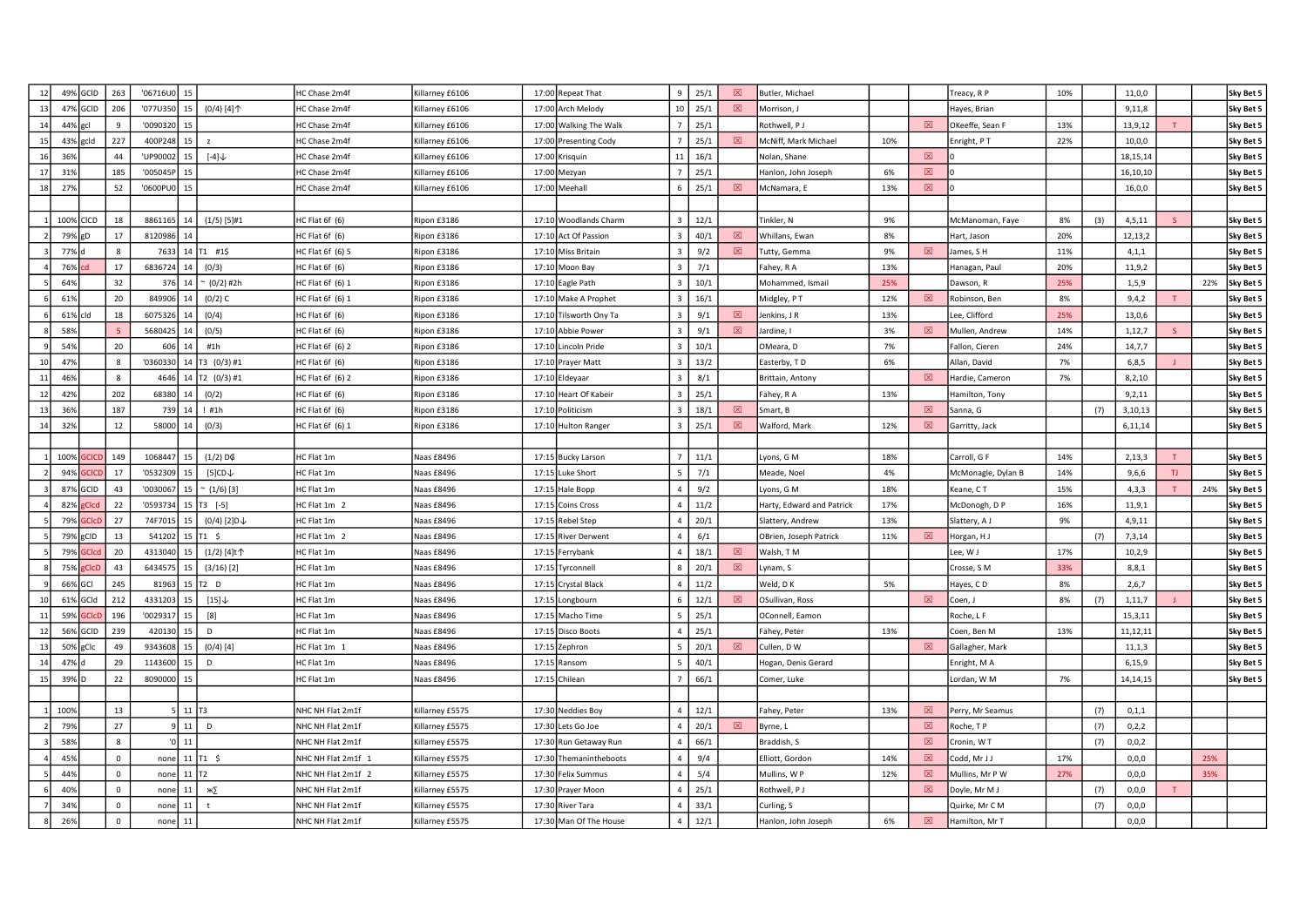| 12       |                      | 49% GCID     | 263          | '06716U0          | 15                    |                            | HC Chase 2m4f              | Killarney £6106          | 17:00 Repeat That             | 9              | 25/1         | 図 | Butler, Michael             |     |             | Freacy, R P                     | 10% |     | 11,0,0              |     |     | Sky Bet 5              |
|----------|----------------------|--------------|--------------|-------------------|-----------------------|----------------------------|----------------------------|--------------------------|-------------------------------|----------------|--------------|---|-----------------------------|-----|-------------|---------------------------------|-----|-----|---------------------|-----|-----|------------------------|
| 13       | 47% GCID             |              | 206          | '077U350          | 15                    | $(0/4)$ [4] $\uparrow$     | HC Chase 2m4f              | Killarney £6106          | 17:00 Arch Melody             | 10             | 25/1         | 図 | Morrison, J                 |     |             | Hayes, Brian                    |     |     | 9,11,8              |     |     | Sky Bet 5              |
| 14       | 44% gcl              |              | $\mathbf{q}$ | '009032           | 15                    |                            | HC Chase 2m4f              | Killarney £6106          | 17:00 Walking The Walk        |                | 25/1         |   | Rothwell, P J               |     | 図           | OKeeffe, Sean F                 | 13% |     | 13,9,12             |     |     | Sky Bet 5              |
| 15       | 43% gcld             |              | 227          | 400P248           | 15                    | z                          | HC Chase 2m4f              | Killarney £6106          | 17:00 Presenting Cody         |                | 25/1         | 図 | McNiff, Mark Michael        | 10% |             | Enright, PT                     | 22% |     | 10,0,0              |     |     | Sky Bet 5              |
| 16       | 36%                  |              | 44           | 'UP90002          | 15                    | $[-4]$                     | HC Chase 2m4f              | Killarney £6106          | 17:00 Krisquin                | 11             | 16/1         |   | Nolan, Shane                |     | 図           |                                 |     |     | 18, 15, 14          |     |     | Sky Bet 5              |
| 17       | 319                  |              | 185          | '005045P          | 15                    |                            | HC Chase 2m4f              | Killarney £6106          | 17:00 Mezyan                  |                | 25/1         |   | Hanlon, John Joseph         | 6%  | 図           |                                 |     |     | 16,10,10            |     |     | Sky Bet 5              |
| 18       | 279                  |              | 52           | '0600PU0          | 15                    |                            | HC Chase 2m4f              | Killarney £6106          | 17:00 Meehall                 | 6              | 25/1         | 図 | McNamara, E                 | 13% | $\boxtimes$ |                                 |     |     | 16,0,0              |     |     | Sky Bet 5              |
|          |                      |              |              |                   |                       |                            |                            |                          |                               |                |              |   |                             |     |             |                                 |     |     |                     |     |     |                        |
|          | 100% CICD            |              | 18           | 8861165           |                       | $(1/5)$ [5]#1              | HC Flat 6f (6)             | Ripon £3186              | 17:10 Woodlands Charm         |                | 12/1         |   | Tinkler, N                  | 9%  |             | McManoman, Faye                 | 8%  | (3) | 4, 5, 11            |     |     | Sky Bet 5              |
|          | 79%                  | gD           | 17           | 8120986           |                       |                            | HC Flat 6f (6)             | Ripon £3186              | 17:10 Act Of Passion          |                | 40/1         | 図 | Whillans, Ewan              | 8%  |             | Hart, Jason                     | 20% |     | 12,13,2             |     |     | Sky Bet 5              |
|          | 77% c                |              | $\mathbf{8}$ | 7633              |                       | $14$ T <sub>1</sub> #1\$   | HC Flat 6f (6) 5           | Ripon £3186              | 17:10 Miss Britain            |                | 9/2          | 図 | Tutty, Gemma                | 9%  | 図           | lames, SH                       | 11% |     | 4, 1, 1             |     |     | Sky Bet 5              |
|          | 76%                  | <b>cd</b>    | 17           | 6836724           | 14                    | (0/3)                      | HC Flat 6f (6)             | Ripon £3186              | 17:10 Moon Bay                |                | 7/1          |   | Fahey, R A                  | 13% |             | Hanagan, Paul                   | 20% |     | 11,9,2              |     |     | Sky Bet 5              |
|          | 64%                  |              | 32           | 376               | 14                    | ~ (0/2) #2h                | HC Flat 6f (6) 1           | Ripon £3186              | 17:10 Eagle Path              |                | 10/1         |   | Mohammed, Ismail            | 25% |             | Dawson, R                       | 25% |     | 1,5,9               |     | 22% | Sky Bet 5              |
|          | 61%                  |              | 20           | 849906            | 14                    | $(0/2)$ C                  | HC Flat 6f (6) 1           | Ripon £3186              | 17:10 Make A Prophet          |                | 16/1         |   | Midgley, PT                 | 12% | 冈           | Robinson, Ben                   | 8%  |     | 9,4,2               |     |     | Sky Bet 5              |
|          | 61% cld              |              | 18           | 607532            |                       | (0/4)                      | HC Flat 6f (6)             | Ripon £3186              | 17:10 Tilsworth Ony Ta        |                | 9/1          | 冈 | Jenkins, J R                | 13% |             | Lee, Clifford                   | 25% |     | 13,0,6              |     |     | Sky Bet 5              |
|          | 589                  |              |              | 5680425           |                       | (0/5)                      | HC Flat 6f (6)             | Ripon £3186              | 17:10 Abbie Power             |                | 9/1          | 図 | Jardine, I                  | 3%  | 図           | Mullen, Andrew                  | 14% |     | 1,12,7              |     |     | Sky Bet 5              |
|          | 54%                  |              | 20           | 606               | 14                    | #1h                        | HC Flat 6f (6) 2           | Ripon £3186              | 17:10 Lincoln Pride           |                | 10/1         |   | OMeara, D                   | 7%  |             | Fallon, Cieren                  | 24% |     | 14,7,7              |     |     | Sky Bet 5              |
| 10       | 47%                  |              | 8            | '0360330          |                       | 14 T3 (0/3) #1             | HC Flat 6f (6)             | Ripon £3186              | 17:10 Prayer Matt             |                | 13/2         |   | Easterby, TD                | 6%  |             | Allan, David                    | 7%  |     | 6,8,5               |     |     | Sky Bet 5              |
| 11       | 46%                  |              | $\mathbf{8}$ | 4646              |                       | 14 T2 (0/3) #1             | HC Flat 6f (6) 2           | Ripon £3186              | 17:10 Eldeyaar                |                | 8/1          |   | Brittain, Antony            |     | 図           | Hardie, Cameron                 | 7%  |     | 8, 2, 10            |     |     | Sky Bet 5              |
| 12       | 42%                  |              | 202          | 68380             | 14                    | (0/2)                      | HC Flat 6f (6)             | Ripon £3186              | 17:10 Heart Of Kabeir         | $\overline{3}$ | 25/1         |   | Fahey, R A                  | 13% |             | Hamilton, Tony                  |     |     | 9,2,11              |     |     | Sky Bet 5              |
| 13       | 369                  |              | 187          | 739               | 14                    | ! #1h                      | HC Flat 6f (6)             | Ripon £3186              | 17:10 Politicism              |                | 18/1         | 図 | Smart, B                    |     | $\boxtimes$ | Sanna, G                        |     | (7) | 3,10,13             |     |     | Sky Bet 5              |
| 14       | 32%                  |              | 12           | 58000             | 14                    | (0/3)                      | IC Flat 6f (6) 1           | Ripon £3186              | 17:10 Hulton Ranger           |                | 25/1         | 図 | Walford, Mark               | 12% | $\boxtimes$ | Garritty, Jack                  |     |     | 6,11,14             |     |     | Sky Bet 5              |
|          |                      |              |              |                   |                       |                            |                            |                          |                               |                |              |   |                             |     |             |                                 |     |     |                     |     |     |                        |
|          | 100%                 | <b>CICI</b>  | 149          | 1068447           | 15                    | $(1/2)$ D¢                 | HC Flat 1m                 | Naas £8496               | 17:15 Bucky Larson            |                | 11/1         |   | Lyons, G M                  | 18% |             | Carroll, G F                    | 14% |     | 2,13,3              |     |     | Sky Bet 5              |
|          | 94%                  | acicr        | 17           | '0532309          | 15                    | $[5]$ CD $\downarrow$      | HC Flat 1m                 | Naas £8496               | 17:15 Luke Short              |                | 7/1          |   | Meade, Noel                 | 4%  |             | McMonagle, Dylan B              | 14% |     | 9,6,6               | TJ. |     | Sky Bet 5              |
|          | 87% GCID             |              | 43           | '0030067          | 15                    | $(1/6)$ [3]                | HC Flat 1m                 | Naas £8496               | 17:15 Hale Bopp               |                | 9/2          |   | Lyons, G M                  | 18% |             | Keane, CT                       | 15% |     | 4,3,3               | T   | 24% | Sky Bet 5              |
|          | 82%                  | <b>Clcd</b>  | 22           | '0593734          |                       | 15   T3 [-5]               | HC Flat 1m 2               | Naas £8496               | 17:15 Coins Cross             |                | 11/2         |   | Harty, Edward and Patrick   | 17% |             | McDonogh, D P                   | 16% |     | 11,9,1              |     |     | Sky Bet 5              |
|          | 79%                  |              | 27           | 74F7015           | 15                    | $(0/4)$ [2] D $\downarrow$ | HC Flat 1m                 | Naas £8496               | 17:15 Rebel Step              |                | 20/1         |   | Slattery, Andrew            | 13% |             | Slattery, A J                   | 9%  |     | 4,9,11              |     |     | Sky Bet 5              |
|          | 79% gCID             |              | 13           | 541202            |                       | 15 T1 \$                   | HC Flat 1m 2               | <b>Naas £8496</b>        | 17:15 River Derwent           |                | 6/1          |   | OBrien, Joseph Patrick      | 11% | 図           | Horgan, HJ                      |     | (7) | 7,3,14              |     |     | Sky Bet 5              |
|          | 79%                  | <b>GCIcc</b> | 20           | 4313040           | 15                    | (1/2) [4]t个                | HC Flat 1m                 | Naas £8496               | 17:15 Ferrybank               |                | 18/1         | 図 | Walsh, TM                   |     |             | Lee, W J                        | 17% |     | 10, 2, 9            |     |     | Sky Bet 5              |
|          | 75%                  | <b>CICD</b>  | 43           | 6434575           | 15                    | $(3/16)$ [2]               | HC Flat 1m                 | Naas £8496               | 17:15 Tyrconnell              |                | 20/1         | 図 | Lynam, S                    |     |             | Crosse, S M                     | 33% |     | 8,8,1               |     |     | Sky Bet 5              |
|          | 66% GCI              |              | 245          | 81963             |                       | $15$ T <sub>2</sub> D      | HC Flat 1m                 | Naas £8496               | 17:15 Crystal Black           |                | 11/2         |   | Weld, DK                    | 5%  |             | Hayes, CD                       | 8%  |     | 2,6,7               |     |     | Sky Bet 5              |
|          | 61%                  | GCId         | 212          | 4331203           | 15                    | [15]                       | HC Flat 1m                 | Naas £8496               | 17:15 Longbourn               |                | 12/1<br>25/1 | ⊠ | OSullivan, Ross             |     | $\boxtimes$ | Coen, J                         | 8%  | (7) | 1,11,7              |     |     | Sky Bet 5              |
| 11       | 59%                  |              | 196          | '002931           | 15                    | [8]<br>D                   | HC Flat 1m                 | Naas £8496               | 17:15 Macho Time              |                | 25/1         |   | OConnell, Eamon             | 13% |             | Roche, L F                      |     |     | 15,3,11<br>11,12,11 |     |     | Sky Bet 5              |
| 12       | 56% GCID<br>50% gClc |              | 239<br>49    | 420130<br>9343608 | 15 <sup>1</sup>       |                            | HC Flat 1m                 | Naas £8496<br>Naas £8496 | 17:15 Disco Boots             |                | 20/1         | 図 | Fahey, Peter<br>Cullen, D W |     | $\boxtimes$ | Coen, Ben M                     | 13% |     |                     |     |     | Sky Bet 5              |
| 13<br>14 | 47% d                |              | 29           | 1143600           | 15<br>15 <sup>1</sup> | $(0/4)$ [4]<br>D           | HC Flat 1m 1<br>HC Flat 1m | Naas £8496               | 17:15 Zephron<br>17:15 Ransom |                | 40/1         |   | Hogan, Denis Gerard         |     |             | Gallagher, Mark<br>Enright, M A |     |     | 11, 1, 3<br>6,15,9  |     |     | Sky Bet 5<br>Sky Bet 5 |
| 15       | 39% D                |              | 22           | 8090000           | 15                    |                            | HC Flat 1m                 | Naas £8496               | 17:15 Chilean                 |                | 66/1         |   |                             |     |             | Lordan, W M                     | 7%  |     | 14, 14, 15          |     |     | Sky Bet 5              |
|          |                      |              |              |                   |                       |                            |                            |                          |                               |                |              |   | Comer, Luke                 |     |             |                                 |     |     |                     |     |     |                        |
|          | 100%                 |              | 13           |                   | $11$ T <sub>3</sub>   |                            | NHC NH Flat 2m1f           | Killarney £5575          | 17:30 Neddies Boy             |                | 12/1         |   | Fahey, Peter                | 13% | 図           | Perry, Mr Seamus                |     | (7) | 0, 1, 1             |     |     |                        |
|          | 79%                  |              | 27           |                   | $11$ D                |                            | NHC NH Flat 2m1f           | Killarney £5575          | 17:30 Lets Go Joe             |                | 20/1         | 図 | Byrne, L                    |     | $\boxtimes$ | Roche, TP                       |     | (7) | 0,2,2               |     |     |                        |
|          | 58%                  |              | 8            |                   | 11                    |                            | NHC NH Flat 2m1f           | Killarney £5575          | 17:30 Run Getaway Run         |                | 66/1         |   | Braddish, S                 |     | ⊠           | Cronin, W T                     |     | (7) | 0, 0, 2             |     |     |                        |
|          | 45%                  |              | $\circ$      | none              |                       | 11 $T_1$ \$                | NHC NH Flat 2m1f 1         | Killarney £5575          | 17:30 Themanintheboots        | $\Delta$       | 9/4          |   | Elliott, Gordon             | 14% | 図           | Codd, Mr J J                    | 17% |     | 0,0,0               |     | 25% |                        |
|          | 44%                  |              | $\mathsf 0$  | none              | $11$ T <sub>2</sub>   |                            | NHC NH Flat 2m1f 2         | Killarney £5575          | 17:30 Felix Summus            |                | 5/4          |   | Mullins, W P                | 12% | 図           | Mullins, Mr P W                 | 27% |     | 0,0,0               |     | 35% |                        |
|          | 40%                  |              | $\Omega$     | none              | 11                    | ж∑                         | NHC NH Flat 2m1f           | Killarney £5575          | 17:30 Prayer Moon             |                | 25/1         |   | Rothwell, PJ                |     | $\boxtimes$ | Doyle, Mr M J                   |     | (7) | 0,0,0               |     |     |                        |
|          | 34%                  |              | $\Omega$     | none              | 11                    | $\ddagger$                 | NHC NH Flat 2m1f           | Killarney £5575          | 17:30 River Tara              |                | 33/1         |   | Curling, S                  |     |             | Quirke, Mr C M                  |     | (7) | 0,0,0               |     |     |                        |
|          | 26%                  |              | $\mathbf{0}$ | none              | 11                    |                            | NHC NH Flat 2m1f           | Killarney £5575          | 17:30 Man Of The House        |                | 12/1         |   | Hanlon, John Joseph         | 6%  | $\boxtimes$ | Hamilton, Mr T                  |     |     | 0, 0, 0             |     |     |                        |
|          |                      |              |              |                   |                       |                            |                            |                          |                               |                |              |   |                             |     |             |                                 |     |     |                     |     |     |                        |